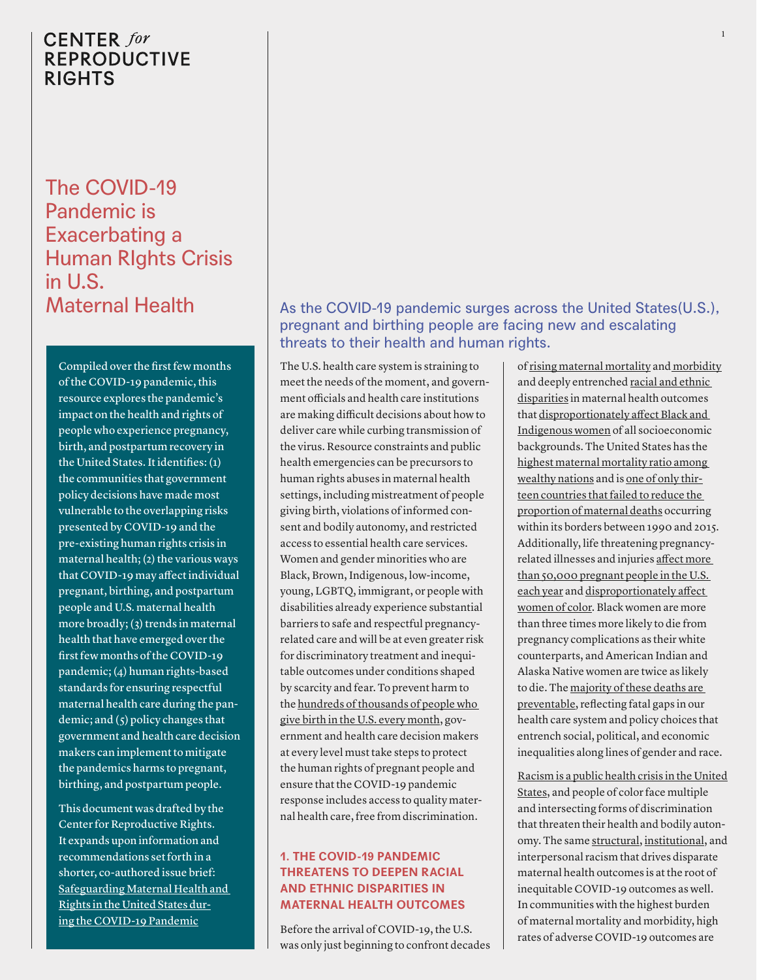The COVID-19 Pandemic is Exacerbating a Human RIghts Crisis in U.S. Maternal Health

Compiled over the first few months of the COVID-19 pandemic, this resource explores the pandemic's impact on the health and rights of people who experience pregnancy, birth, and postpartum recovery in the United States. It identifies: (1) the communities that government policy decisions have made most vulnerable to the overlapping risks presented by COVID-19 and the pre-existing human rights crisis in maternal health; (2) the various ways that COVID-19 may affect individual pregnant, birthing, and postpartum people and U.S. maternal health more broadly; (3) trends in maternal health that have emerged over the first few months of the COVID-19 pandemic; (4) human rights-based standards for ensuring respectful maternal health care during the pandemic; and  $(5)$  policy changes that government and health care decision makers can implement to mitigate the pandemics harms to pregnant, birthing, and postpartum people.

This document was drafted by the Center for Reproductive Rights. It expands upon information and recommendations set forth in a shorter, co-authored issue brief: [Safeguarding Maternal Health and](https://reproductiverights.org/sites/default/files/documents/Safeguarding%20Maternal%20Health%20and%20Rights%20in%20the%20United%20States%20During%20the%20COVID-19%20Pandemic.pdf?_ga=2.109343682.631596461.1593609017-1638916994.1555363213)  [Rights in the United States dur](https://reproductiverights.org/sites/default/files/documents/Safeguarding%20Maternal%20Health%20and%20Rights%20in%20the%20United%20States%20During%20the%20COVID-19%20Pandemic.pdf?_ga=2.109343682.631596461.1593609017-1638916994.1555363213)[ing the COVID-19 Pandemic](https://reproductiverights.org/sites/default/files/documents/Safeguarding%20Maternal%20Health%20and%20Rights%20in%20the%20United%20States%20During%20the%20COVID-19%20Pandemic.pdf?_ga=2.109343682.631596461.1593609017-1638916994.1555363213)

## As the COVID-19 pandemic surges across the United States(U.S.), pregnant and birthing people are facing new and escalating threats to their health and human rights.

The U.S. health care system is straining to meet the needs of the moment, and government officials and health care institutions are making difficult decisions about how to deliver care while curbing transmission of the virus. Resource constraints and public health emergencies can be precursors to human rights abuses in maternal health settings, including mistreatment of people giving birth, violations of informed consent and bodily autonomy, and restricted access to essential health care services. Women and gender minorities who are Black, Brown, Indigenous, low-income, young, LGBTQ, immigrant, or people with disabilities already experience substantial barriers to safe and respectful pregnancyrelated care and will be at even greater risk for discriminatory treatment and inequitable outcomes under conditions shaped by scarcity and fear. To prevent harm to the [hundreds of thousands of people who](https://www.cdc.gov/nchs/fastats/births.htm)  [give birth in the U.S. every month](https://www.cdc.gov/nchs/fastats/births.htm), government and health care decision makers at every level must take steps to protect the human rights of pregnant people and ensure that the COVID-19 pandemic response includes access to quality maternal health care, free from discrimination.

### **1. THE COVID-19 PANDEMIC THREATENS TO DEEPEN RACIAL AND ETHNIC DISPARITIES IN MATERNAL HEALTH OUTCOMES**

Before the arrival of COVID-19, the U.S. was only just beginning to confront decades

of [rising maternal mortality](https://pubmed.ncbi.nlm.nih.gov/27500333/) an[d morbidity](https://www.cdc.gov/reproductivehealth/maternalinfanthealth/severematernalmorbidity.html) and deeply entrenched [racial and ethnic](https://www.cdc.gov/mmwr/volumes/68/wr/mm6818e1.htm)  [disparities](https://www.cdc.gov/mmwr/volumes/68/wr/mm6818e1.htm) in maternal health outcomes that [disproportionately affect Black and](https://www.cdc.gov/mmwr/volumes/68/wr/mm6818e1.htm)  [Indigenous women](https://www.cdc.gov/mmwr/volumes/68/wr/mm6818e1.htm) of all socioeconomic backgrounds. The United States has the [highest maternal mortality ratio among](https://www.thelancet.com/journals/lancet/article/PIIS0140-6736(15)00838-7/fulltext)  [wealthy nations](https://www.thelancet.com/journals/lancet/article/PIIS0140-6736(15)00838-7/fulltext) and is [one of only thir](https://www.who.int/reproductivehealth/publications/monitoring/maternal-mortality-2015/en/)[teen countries that failed to reduce the](https://www.who.int/reproductivehealth/publications/monitoring/maternal-mortality-2015/en/)  [proportion of maternal deaths](https://www.who.int/reproductivehealth/publications/monitoring/maternal-mortality-2015/en/) occurring within its borders between 1990 and 2015. Additionally, life threatening pregnancyrelated illnesses and injuries [affect more](https://www.cdc.gov/reproductivehealth/maternalinfanthealth/severematernalmorbidity.html)  [than 50,000 pregnant people in the U.S.](https://www.cdc.gov/reproductivehealth/maternalinfanthealth/severematernalmorbidity.html)  [each year](https://www.cdc.gov/reproductivehealth/maternalinfanthealth/severematernalmorbidity.html) and [disproportionately affect](https://pubmed.ncbi.nlm.nih.gov/24295922/)  [women of color.](https://pubmed.ncbi.nlm.nih.gov/24295922/) Black women are more than three times more likely to die from pregnancy complications as their white counterparts, and American Indian and Alaska Native women are twice as likely to die. The [majority of these deaths are](https://pubmed.ncbi.nlm.nih.gov/31071074/)  [preventable,](https://pubmed.ncbi.nlm.nih.gov/31071074/) reflecting fatal gaps in our health care system and policy choices that entrench social, political, and economic inequalities along lines of gender and race.

1

[Racism is a public health crisis in the United](https://www.apha.org/news-and-media/news-releases/apha-news-releases/2020/racism-is-a-public-health-crisis#.XvIb1mC7lp0.twitter)  [States,](https://www.apha.org/news-and-media/news-releases/apha-news-releases/2020/racism-is-a-public-health-crisis#.XvIb1mC7lp0.twitter) and people of color face multiple and intersecting forms of discrimination that threaten their health and bodily autonomy. The same [structural,](https://www.thelancet.com/pdfs/journals/lancet/PIIS0140-6736(17)30569-X.pdf) [institutional,](https://time.com/5851864/institutional-racism-america/) and interpersonal racism that drives disparate maternal health outcomes is at the root of inequitable COVID-19 outcomes as well. In communities with the highest burden of maternal mortality and morbidity, high rates of adverse COVID-19 outcomes are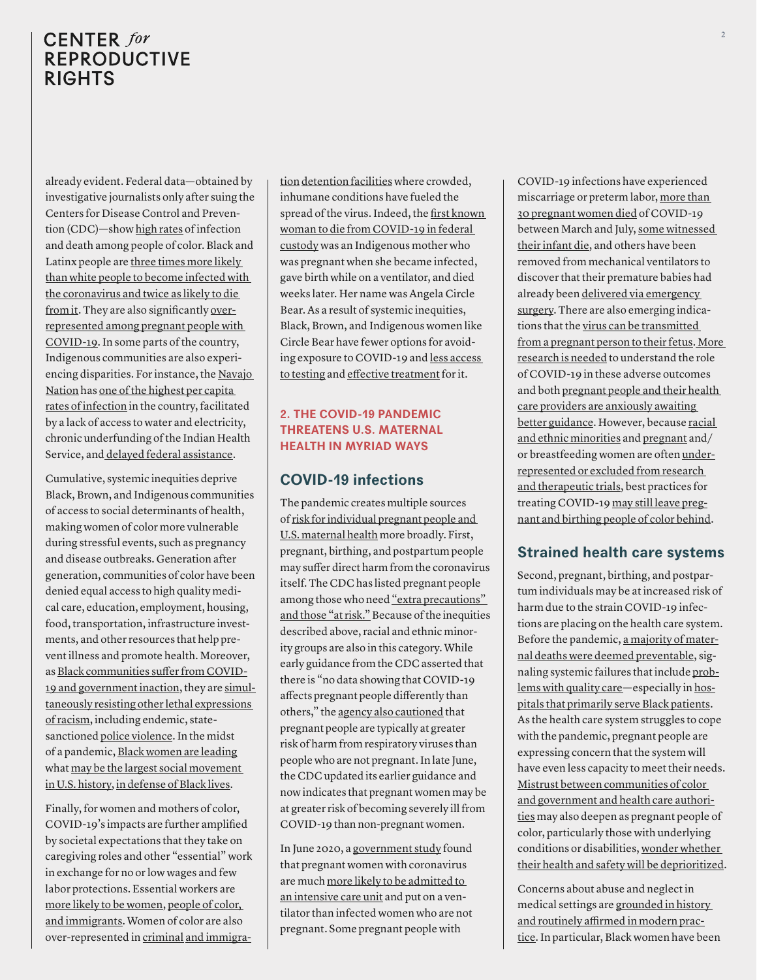already evident. Federal data—obtained by investigative journalists only after suing the Centers for Disease Control and Prevention (CDC)—show [high rates](https://www.nytimes.com/interactive/2020/07/05/us/coronavirus-latinos-african-americans-cdc-data.html?referringSource=articleShare) of infection and death among people of color. Black and Latinx people are [three times more likely](https://www.nytimes.com/interactive/2020/07/05/us/coronavirus-latinos-african-americans-cdc-data.html?referringSource=articleShare)  [than white people to become infected with](https://www.nytimes.com/interactive/2020/07/05/us/coronavirus-latinos-african-americans-cdc-data.html?referringSource=articleShare)  [the coronavirus and twice as likely to die](https://www.nytimes.com/interactive/2020/07/05/us/coronavirus-latinos-african-americans-cdc-data.html?referringSource=articleShare)  [from it](https://www.nytimes.com/interactive/2020/07/05/us/coronavirus-latinos-african-americans-cdc-data.html?referringSource=articleShare). They are also significantly [over](https://www.cdc.gov/coronavirus/2019-ncov/cases-updates/special-populations/pregnancy-data-on-covid-19.html)[represented among pregnant people with](https://www.cdc.gov/coronavirus/2019-ncov/cases-updates/special-populations/pregnancy-data-on-covid-19.html)  [COVID-19.](https://www.cdc.gov/coronavirus/2019-ncov/cases-updates/special-populations/pregnancy-data-on-covid-19.html) In some parts of the country, Indigenous communities are also experiencing disparities. For instance, the [Navajo](https://www.ama-assn.org/delivering-care/population-care/ama-urges-hhs-address-funding-navajo-covid-19-hot-spot)  [Nation](https://www.ama-assn.org/delivering-care/population-care/ama-urges-hhs-address-funding-navajo-covid-19-hot-spot) has [one of the highest per capita](https://www.webmd.com/lung/news/20200609/covid-19-ravages-the-navajo-nation#4)  [rates of infection](https://www.webmd.com/lung/news/20200609/covid-19-ravages-the-navajo-nation#4) in the country, facilitated by a lack of access to water and electricity, chronic underfunding of the Indian Health Service, and [delayed federal assistance](https://www.nytimes.com/2020/05/01/us/politics/coronavirus-native-american-tribes-treasury-stimulus.html).

Cumulative, systemic inequities deprive Black, Brown, and Indigenous communities of access to social determinants of health, making women of color more vulnerable during stressful events, such as pregnancy and disease outbreaks. Generation after generation, communities of color have been denied equal access to high quality medical care, education, employment, housing, food, transportation, infrastructure investments, and other resources that help prevent illness and promote health. Moreover, as [Black communities suffer from COVID-](https://www.huffpost.com/entry/epidemiologist-coronavirus-genocide-by-default_n_5eb2a5ebc5b63e6bd96f5d81?ncid=engmodushpmg00000004)[19 and government inaction](https://www.huffpost.com/entry/epidemiologist-coronavirus-genocide-by-default_n_5eb2a5ebc5b63e6bd96f5d81?ncid=engmodushpmg00000004), they are [simul](https://www.nytimes.com/2020/05/29/opinion/george-floyd-minneapolis.html?referringSource=articleShare)[taneously resisting other lethal expressions](https://www.nytimes.com/2020/05/29/opinion/george-floyd-minneapolis.html?referringSource=articleShare)  [of racism,](https://www.nytimes.com/2020/05/29/opinion/george-floyd-minneapolis.html?referringSource=articleShare) including endemic, statesanctioned [police violence.](https://www.nytimes.com/2020/05/29/opinion/george-floyd-minneapolis.html?referringSource=articleShare) In the midst of a pandemic, [Black women are leading](https://blacklivesmatter.com/our-co-founders/) what [may be the largest social movement](https://www.nytimes.com/interactive/2020/07/03/us/george-floyd-protests-crowd-size.html)  [in U.S. history](https://www.nytimes.com/interactive/2020/07/03/us/george-floyd-protests-crowd-size.html), [in defense of Black lives](https://slate.com/technology/2020/06/protests-coronavirus-pandemic-public-health-racism.html).

Finally, for women and mothers of color, COVID-19's impacts are further amplified by societal expectations that they take on caregiving roles and other "essential" work in exchange for no or low wages and few labor protections. Essential workers are [more likely to be women,](https://www.nytimes.com/2020/04/18/us/coronavirus-women-essential-workers.html) [people of color,](https://www.cbsnews.com/news/fontline-work-women-minorities-pandemic/)  [and immigrants](https://www.cbsnews.com/news/fontline-work-women-minorities-pandemic/). Women of color are also over-represented in [criminal](https://www.nytimes.com/2020/06/16/us/coronavirus-inmates-prisons-jails.html) [and immigra-](https://www.nytimes.com/2020/06/04/magazine/covid-ice.html) [tion](https://www.nytimes.com/2020/06/04/magazine/covid-ice.html) [detention facilities](https://www.thenation.com/article/politics/covid-jails-ice-detention/) where crowded, inhumane conditions have fueled the spread of the virus. Indeed, the [first known](https://www.aljazeera.com/news/2020/04/outrage-inmate-coronavirus-dies-giving-birth-200430093846338.html)  [woman to die from COVID-19 in federal](https://www.aljazeera.com/news/2020/04/outrage-inmate-coronavirus-dies-giving-birth-200430093846338.html)  [custody](https://www.aljazeera.com/news/2020/04/outrage-inmate-coronavirus-dies-giving-birth-200430093846338.html) was an Indigenous mother who was pregnant when she became infected, gave birth while on a ventilator, and died weeks later. Her name was Angela Circle Bear. As a result of systemic inequities, Black, Brown, and Indigenous women like Circle Bear have fewer options for avoiding exposure to COVID-19 and [less access](https://www.npr.org/sections/health-shots/2020/05/27/862215848/across-texas-black-and-hispanic-neighborhoods-have-fewer-coronavirus-testing-sit)  [to testing](https://www.npr.org/sections/health-shots/2020/05/27/862215848/across-texas-black-and-hispanic-neighborhoods-have-fewer-coronavirus-testing-sit) and [effective treatment](https://www.nytimes.com/2020/07/01/nyregion/Coronavirus-hospitals.html?smid=tw-share) for it.

### **2. THE COVID-19 PANDEMIC THREATENS U.S. MATERNAL HEALTH IN MYRIAD WAYS**

## **COVID-19 infections**

The pandemic creates multiple sources of [risk for individual pregnant people and](https://www.theguardian.com/world/2020/may/03/giving-birth-coronavirus-pandemic-hospitals?CMP=share_btn_tw)  [U.S. maternal health](https://www.theguardian.com/world/2020/may/03/giving-birth-coronavirus-pandemic-hospitals?CMP=share_btn_tw) more broadly. First, pregnant, birthing, and postpartum people may suffer direct harm from the coronavirus itself. The CDC has listed pregnant people among those who need "extra precautions" [and those "at risk."](https://www.cdc.gov/coronavirus/2019-ncov/need-extra-precautions/pregnancy-breastfeeding.html) Because of the inequities described above, racial and ethnic minority groups are also in this category. While early guidance from the CDC asserted that there is "no data showing that COVID-19 affects pregnant people differently than others," the [agency also cautioned](https://www.cdc.gov/coronavirus/2019-ncov/need-extra-precautions/pregnancy-breastfeeding.html) that pregnant people are typically at greater risk of harm from respiratory viruses than people who are not pregnant. In late June, the CDC updated its earlier guidance and now indicates that pregnant women may be at greater risk of becoming severely ill from COVID-19 than non-pregnant women.

In June 2020, a [government study](https://www.cdc.gov/mmwr/volumes/69/wr/mm6925a1.htm) found that pregnant women with coronavirus are much [more likely to be admitted to](https://www.nytimes.com/2020/06/24/health/coronavirus-pregnancy.html)  [an intensive care unit](https://www.nytimes.com/2020/06/24/health/coronavirus-pregnancy.html) and put on a ventilator than infected women who are not pregnant. Some pregnant people with

COVID-19 infections have experienced miscarriage or preterm labor, [more than](https://www.cdc.gov/mmwr/volumes/69/wr/mm6925a1.htm)  [30 pregnant women died](https://www.cdc.gov/mmwr/volumes/69/wr/mm6925a1.htm) of COVID-19 between March and July, [some witnessed](https://www.today.com/health/how-coronavirus-affects-black-pregnant-women-t185645)  [their infant die,](https://www.today.com/health/how-coronavirus-affects-black-pregnant-women-t185645) and others have been removed from mechanical ventilators to discover that their premature babies had already been [delivered via emergency](https://www.nytimes.com/2020/04/12/nyregion/coronavirus-births-mothers.html?referringSource=articleShare)  [surgery.](https://www.nytimes.com/2020/04/12/nyregion/coronavirus-births-mothers.html?referringSource=articleShare) There are also emerging indications that the [virus can be transmitted](https://www.nytimes.com/2020/04/12/nyregion/coronavirus-births-mothers.html?referringSource=articleShare)  [from a pregnant person to their fetus.](https://www.nytimes.com/2020/04/12/nyregion/coronavirus-births-mothers.html?referringSource=articleShare) [More](https://www.cdc.gov/coronavirus/2019-ncov/need-extra-precautions/pregnancy-breastfeeding.html)  [research is needed](https://www.cdc.gov/coronavirus/2019-ncov/need-extra-precautions/pregnancy-breastfeeding.html) to understand the role of COVID-19 in these adverse outcomes and both [pregnant people and their health](https://www.motherjones.com/environment/2020/07/agonizing-lag-in-coronavirus-research-puts-pregnant-women-and-babies-at-risk/)  [care providers are anxiously awaiting](https://www.motherjones.com/environment/2020/07/agonizing-lag-in-coronavirus-research-puts-pregnant-women-and-babies-at-risk/)  [better guidance](https://www.motherjones.com/environment/2020/07/agonizing-lag-in-coronavirus-research-puts-pregnant-women-and-babies-at-risk/). However, because [racial](https://www.aafp.org/news/blogs/leadervoices/entry/20181204lv-clinicaltrials.html)  [and ethnic minorities](https://www.aafp.org/news/blogs/leadervoices/entry/20181204lv-clinicaltrials.html) and [pregnant](https://link.springer.com/article/10.1186/s13063-017-2402-9) and/ or breastfeeding women are often [under](https://www.fda.gov/consumers/minority-health-and-health-equity/racial-and-ethnic-minorities-clinical-trials)[represented or excluded from research](https://www.fda.gov/consumers/minority-health-and-health-equity/racial-and-ethnic-minorities-clinical-trials)  [and therapeutic trials](https://www.fda.gov/consumers/minority-health-and-health-equity/racial-and-ethnic-minorities-clinical-trials), best practices for treating COVID-19 [may still leave preg](https://academic.oup.com/cid/article/71/15/879/5820683)[nant and birthing people of color behind](https://academic.oup.com/cid/article/71/15/879/5820683).

## **Strained health care systems**

Second, pregnant, birthing, and postpartum individuals may be at increased risk of harm due to the strain COVID-19 infections are placing on the health care system. Before the pandemic, [a majority of mater](https://pubmed.ncbi.nlm.nih.gov/31071074/)[nal deaths were deemed preventable](https://pubmed.ncbi.nlm.nih.gov/31071074/), signaling systemic failures that include [prob](https://pubmed.ncbi.nlm.nih.gov/32303940/)[lems with quality care](https://pubmed.ncbi.nlm.nih.gov/32303940/)—especially in [hos](https://pubmed.ncbi.nlm.nih.gov/26283457/)[pitals that primarily serve Black patients.](https://pubmed.ncbi.nlm.nih.gov/26283457/) As the health care system struggles to cope with the pandemic, pregnant people are expressing concern that the system will have even less capacity to meet their needs. [Mistrust between communities of color](https://www.healthaffairs.org/do/10.1377/hblog20200630.939347/full/?utm_medium=social&utm_source=twitter&utm_campaign=blog&utm_content=Boyd&)  [and government and health care authori](https://www.healthaffairs.org/do/10.1377/hblog20200630.939347/full/?utm_medium=social&utm_source=twitter&utm_campaign=blog&utm_content=Boyd&)[ties](https://www.healthaffairs.org/do/10.1377/hblog20200630.939347/full/?utm_medium=social&utm_source=twitter&utm_campaign=blog&utm_content=Boyd&) may also deepen as pregnant people of color, particularly those with underlying conditions or disabilities, [wonder whether](https://www.vox.com/first-person/2020/4/4/21204261/coronavirus-covid-19-disabled-people-disabilities-triage)  [their health and safety will be deprioritized.](https://www.vox.com/first-person/2020/4/4/21204261/coronavirus-covid-19-disabled-people-disabilities-triage)

Concerns about abuse and neglect in medical settings are [grounded in history](https://www.nytimes.com/interactive/2019/08/14/magazine/racial-differences-doctors.html)  [and routinely affirmed in modern prac](https://www.nytimes.com/interactive/2019/08/14/magazine/racial-differences-doctors.html)[tice](https://www.nytimes.com/interactive/2019/08/14/magazine/racial-differences-doctors.html). In particular, Black women have been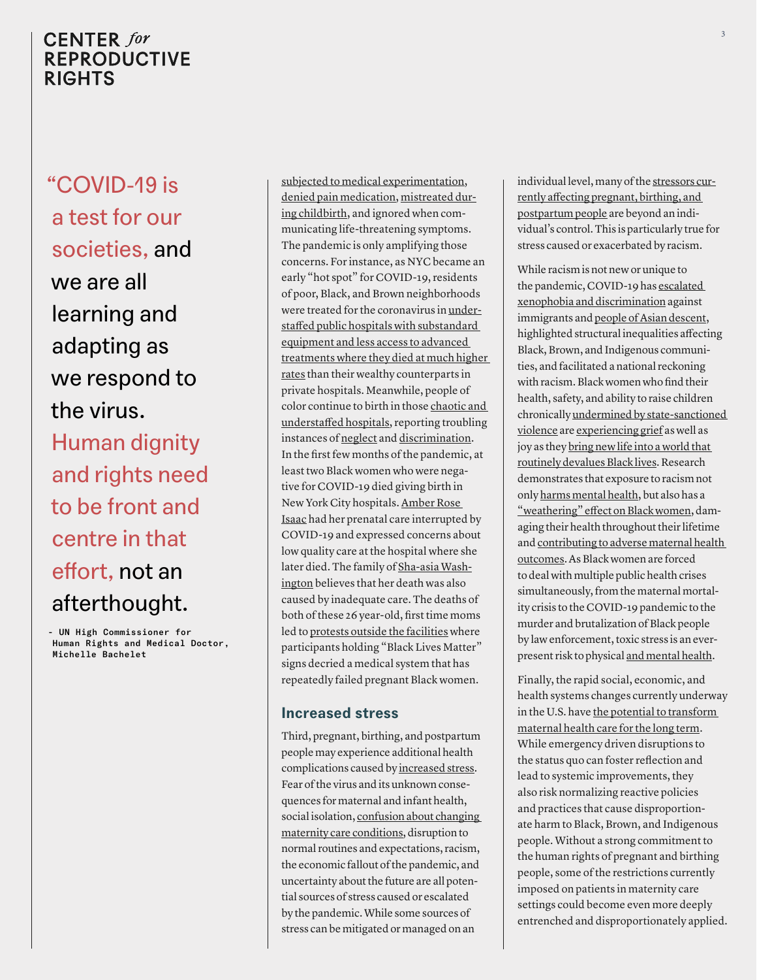"COVID-19 is a test for our societies, and we are all learning and adapting as we respond to the virus. Human dignity and rights need to be front and centre in that effort, not an afterthought.

– UN High Commissioner for Human Rights and Medical Doctor, Michelle Bachelet

[subjected to medical experimentation,](https://www.deirdrecooperowens.com/writings/2019/9/14/black-maternal-and-infant-health-historical-legacies-of-slavery) [denied pain medication](https://www.aamc.org/news-insights/how-we-fail-black-patients-pain), [mistreated dur](https://reproductive-health-journal.biomedcentral.com/articles/10.1186/s12978-019-0729-2)[ing childbirth,](https://reproductive-health-journal.biomedcentral.com/articles/10.1186/s12978-019-0729-2) and ignored when communicating life-threatening symptoms. The pandemic is only amplifying those concerns. For instance, as NYC became an early "hot spot" for COVID-19, residents of poor, Black, and Brown neighborhoods were treated for the coronavirus in [under](https://www.nytimes.com/2020/07/01/nyregion/Coronavirus-hospitals.html?smid=tw-share)[staffed public hospitals with substandard](https://www.nytimes.com/2020/07/01/nyregion/Coronavirus-hospitals.html?smid=tw-share)  [equipment and less access to advanced](https://www.nytimes.com/2020/07/01/nyregion/Coronavirus-hospitals.html?smid=tw-share)  [treatments where they died at much higher](https://www.nytimes.com/2020/07/01/nyregion/Coronavirus-hospitals.html?smid=tw-share)  [rates](https://www.nytimes.com/2020/07/01/nyregion/Coronavirus-hospitals.html?smid=tw-share) than their wealthy counterparts in private hospitals. Meanwhile, people of color continue to birth in those [chaotic and](https://www.newyorker.com/science/medical-dispatch/a-chaotic-week-for-pregnant-women-in-new-york-city?utm_source=twitter&utm_medium=social&utm_campaign=onsite-share&utm_brand=the-new-yorker&utm_social-type=earned)  [understaffed hospitals](https://www.newyorker.com/science/medical-dispatch/a-chaotic-week-for-pregnant-women-in-new-york-city?utm_source=twitter&utm_medium=social&utm_campaign=onsite-share&utm_brand=the-new-yorker&utm_social-type=earned), reporting troubling instances of [neglect](https://www.nytimes.com/2020/06/23/nyregion/nyc-coronavirus-births.html?smid=tw-share) and [discrimination](https://nymag.com/intelligencer/2020/05/when-your-zip-code-determines-whether-you-live-or-die.html). In the first few months of the pandemic, at least two Black women who were negative for COVID-19 died giving birth in New York City hospitals. [Amber Rose](https://www.thecity.nyc/health/2020/4/27/21247056/a-pregnant-woman-tweeted-concerns-about-a-bronx-hospital-she-died-days-later)  [Isaac](https://www.thecity.nyc/health/2020/4/27/21247056/a-pregnant-woman-tweeted-concerns-about-a-bronx-hospital-she-died-days-later) had her prenatal care interrupted by COVID-19 and expressed concerns about low quality care at the hospital where she later died. The family of [Sha-asia Wash](https://www.thecity.nyc/health/2020/7/9/21319623/brooklyn-womans-childbirth-death-maternal-racial-disparities)[ington](https://www.thecity.nyc/health/2020/7/9/21319623/brooklyn-womans-childbirth-death-maternal-racial-disparities) believes that her death was also caused by inadequate care. The deaths of both of these 26 year-old, first time moms led to [protests outside the facilities](https://www.thecity.nyc/health/2020/7/9/21319623/brooklyn-womans-childbirth-death-maternal-racial-disparities) where participants holding "Black Lives Matter" signs decried a medical system that has repeatedly failed pregnant Black women.

### **Increased stress**

Third, pregnant, birthing, and postpartum people may experience additional health complications caused by [increased stress.](https://www.essence.com/feature/black-mamas-childbirth-covid-19-coronavirus/) Fear of the virus and its unknown consequences for maternal and infant health, social isolation, [confusion about changing](https://www.nytimes.com/2020/06/23/nyregion/nyc-coronavirus-births.html?smid=tw-share)  [maternity care conditions](https://www.nytimes.com/2020/06/23/nyregion/nyc-coronavirus-births.html?smid=tw-share), disruption to normal routines and expectations, racism, the economic fallout of the pandemic, and uncertainty about the future are all potential sources of stress caused or escalated by the pandemic. While some sources of stress can be mitigated or managed on an

individual level, many of the [stressors cur](https://abcnews.go.com/GMA/Wellness/black-pregnant-coronavirus-pandemic-scared/story?id=70175847)[rently affecting pregnant, birthing, and](https://abcnews.go.com/GMA/Wellness/black-pregnant-coronavirus-pandemic-scared/story?id=70175847)  [postpartum people](https://abcnews.go.com/GMA/Wellness/black-pregnant-coronavirus-pandemic-scared/story?id=70175847) are beyond an individual's control. This is particularly true for stress caused or exacerbated by racism.

While racism is not new or unique to the pandemic, COVID-19 has [escalated](https://www.usatoday.com/story/news/nation/2020/07/01/coronavirus-black-asian-americans-report-increased-discrimination/5356563002/)  [xenophobia and discrimination](https://www.usatoday.com/story/news/nation/2020/07/01/coronavirus-black-asian-americans-report-increased-discrimination/5356563002/) against immigrants and [people of Asian descent,](https://www.usatoday.com/story/news/nation/2020/07/01/coronavirus-black-asian-americans-report-increased-discrimination/5356563002/) highlighted structural inequalities affecting Black, Brown, and Indigenous communities, and facilitated a national reckoning with racism. Black women who find their health, safety, and ability to raise children chronically [undermined by state-sanctioned](https://lawprofessors.typepad.com/human_rights/2020/06/the-un-makes-unprecedented-response-to-george-floyds-murder.html)  [violence](https://lawprofessors.typepad.com/human_rights/2020/06/the-un-makes-unprecedented-response-to-george-floyds-murder.html) are [experiencing grief](https://www.vox.com/first-person/2020/5/28/21272380/black-mothers-grief-sadness-covid-19) as well as joy as they [bring new life into a world that](https://www.huffpost.com/entry/black-mother-george-floyd-racism-america_n_5ed383b6c5b65a461cf6e00f?ncid=engmodushpmg00000004)  [routinely devalues Black lives](https://www.huffpost.com/entry/black-mother-george-floyd-racism-america_n_5ed383b6c5b65a461cf6e00f?ncid=engmodushpmg00000004). Research demonstrates that exposure to racism not only [harms mental health](https://www.ncbi.nlm.nih.gov/pmc/articles/PMC4358177/), but also has a ["weathering" effect on Black women](https://www.ncbi.nlm.nih.gov/pmc/articles/PMC2741514/), damaging their health throughout their lifetime and [contributing to adverse maternal health](https://www.self.com/story/weathering-and-its-deadly-effect-on-black-mothers)  [outcomes.](https://www.self.com/story/weathering-and-its-deadly-effect-on-black-mothers) As Black women are forced to deal with multiple public health crises simultaneously, from the maternal mortality crisis to the COVID-19 pandemic to the murder and brutalization of Black people by law enforcement, toxic stress is an everpresent risk to physical [and mental health](https://www.washingtonpost.com/lifestyle/2020/06/10/new-mothers-are-high-risk-coming-mental-health-crisis-especially-black-mothers/).

Finally, the rapid social, economic, and health systems changes currently underway in the U.S. have the potential to transform [maternal health care for the long term](https://www.nytimes.com/2020/04/28/parenting/pregnancy/coronavirus-prenatal-care.html?smid=tw-share). While emergency driven disruptions to the status quo can foster reflection and lead to systemic improvements, they also risk normalizing reactive policies and practices that cause disproportionate harm to Black, Brown, and Indigenous people. Without a strong commitment to the human rights of pregnant and birthing people, some of the restrictions currently imposed on patients in maternity care settings could become even more deeply entrenched and disproportionately applied.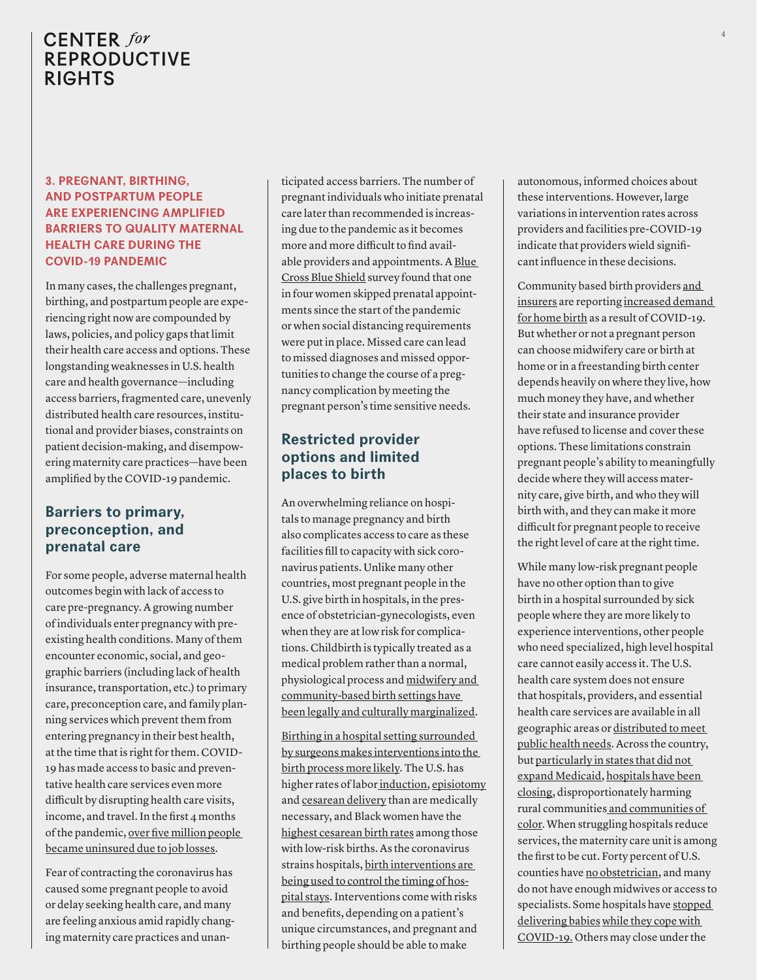### **3. PREGNANT, BIRTHING, AND POSTPARTUM PEOPLE ARE EXPERIENCING AMPLIFIED BARRIERS TO QUALITY MATERNAL HEALTH CARE DURING THE COVID-19 PANDEMIC**

In many cases, the challenges pregnant, birthing, and postpartum people are experiencing right now are compounded by laws, policies, and policy gaps that limit their health care access and options. These longstanding weaknesses in U.S. health care and health governance—including access barriers, fragmented care, unevenly distributed health care resources, institutional and provider biases, constraints on patient decision-making, and disempowering maternity care practices—have been amplified by the COVID-19 pandemic.

## **Barriers to primary, preconception, and prenatal care**

For some people, adverse maternal health outcomes begin with lack of access to care pre-pregnancy. A growing number of individuals enter pregnancy with preexisting health conditions. Many of them encounter economic, social, and geographic barriers (including lack of health insurance, transportation, etc.) to primary care, preconception care, and family planning services which prevent them from entering pregnancy in their best health, at the time that is right for them. COVID-19 has made access to basic and preventative health care services even more difficult by disrupting health care visits, income, and travel. In the first  $4$  months of the pandemic, [over five million people](https://www.nytimes.com/2020/07/13/world/coronavirus-updates.html)  [became uninsured due to job losses](https://www.nytimes.com/2020/07/13/world/coronavirus-updates.html).

Fear of contracting the coronavirus has caused some pregnant people to avoid or delay seeking health care, and many are feeling anxious amid rapidly changing maternity care practices and unan-

ticipated access barriers. The number of pregnant individuals who initiate prenatal care later than recommended is increasing due to the pandemic as it becomes more and more difficult to find available providers and appointments. A [Blue](https://www.bcbs.com/the-health-of-america/reports/trends-in-pregnancy-and-childbirth-complications-in-the-us?utm_source=STAT+Newsletters&utm_campaign=c08dd8086c-MR_COPY_01&utm_medium=email&utm_term=0_8cab1d7961-c08dd8086c-149721217)  [Cross Blue Shield](https://www.bcbs.com/the-health-of-america/reports/trends-in-pregnancy-and-childbirth-complications-in-the-us?utm_source=STAT+Newsletters&utm_campaign=c08dd8086c-MR_COPY_01&utm_medium=email&utm_term=0_8cab1d7961-c08dd8086c-149721217) survey found that one in four women skipped prenatal appointments since the start of the pandemic or when social distancing requirements were put in place. Missed care can lead to missed diagnoses and missed opportunities to change the course of a pregnancy complication by meeting the pregnant person's time sensitive needs.

## **Restricted provider options and limited places to birth**

An overwhelming reliance on hospitals to manage pregnancy and birth also complicates access to care as these facilities fill to capacity with sick coronavirus patients. Unlike many other countries, most pregnant people in the U.S. give birth in hospitals, in the presence of obstetrician-gynecologists, even when they are at low risk for complications. Childbirth is typically treated as a medical problem rather than a normal, physiological process and [midwifery and](https://www.aclu.org/news/racial-justice/the-racist-history-of-abortion-and-midwifery-bans/?initms_aff=nat&initms_chan=soc&utm_medium=soc&initms=200701_abortion_blog_fb&utm_source=fb&utm_campaign=abortion&utm_content=200701_womensrights_blog&ms_aff=nat&ms_chan=soc&ms=200701_abortion_blog_fbAnti-abortion&fbclid=IwAR3iF7NLvE3ZvF5U-ItEF4035PEaTplUBaOjFoiIdzwhjjCpShtLNtnVGSY)  [community-based birth settings have](https://www.aclu.org/news/racial-justice/the-racist-history-of-abortion-and-midwifery-bans/?initms_aff=nat&initms_chan=soc&utm_medium=soc&initms=200701_abortion_blog_fb&utm_source=fb&utm_campaign=abortion&utm_content=200701_womensrights_blog&ms_aff=nat&ms_chan=soc&ms=200701_abortion_blog_fbAnti-abortion&fbclid=IwAR3iF7NLvE3ZvF5U-ItEF4035PEaTplUBaOjFoiIdzwhjjCpShtLNtnVGSY)  [been legally and culturally marginalized](https://www.aclu.org/news/racial-justice/the-racist-history-of-abortion-and-midwifery-bans/?initms_aff=nat&initms_chan=soc&utm_medium=soc&initms=200701_abortion_blog_fb&utm_source=fb&utm_campaign=abortion&utm_content=200701_womensrights_blog&ms_aff=nat&ms_chan=soc&ms=200701_abortion_blog_fbAnti-abortion&fbclid=IwAR3iF7NLvE3ZvF5U-ItEF4035PEaTplUBaOjFoiIdzwhjjCpShtLNtnVGSY).

[Birthing in a hospital setting surrounded](https://www.insider.com/home-births-should-be-more-accessible-during-the-coronavirus-pandemic-2020-4)  [by surgeons makes interventions into the](https://www.insider.com/home-births-should-be-more-accessible-during-the-coronavirus-pandemic-2020-4)  [birth process more likely](https://www.insider.com/home-births-should-be-more-accessible-during-the-coronavirus-pandemic-2020-4). The U.S. has higher rates of labor [induction,](https://www.cesareanrates.org/labor-induction-by-state) [episiotomy](https://www.npr.org/sections/health-shots/2016/07/04/483945168/episiotomies-still-common-during-childbirth-despite-advice-to-do-fewer) and [cesarean delivery](https://www.cdc.gov/nchs/fastats/delivery.htm) than are medically necessary, and Black women have the [highest cesarean birth rates](https://www.cesareanrates.org/ntsv-race) among those with low-risk births. As the coronavirus strains hospitals, [birth interventions are](https://www.nytimes.com/2020/03/26/us/coronavirus-pregnancy-maternal-health-system.html)  [being used to control the timing of hos](https://www.nytimes.com/2020/03/26/us/coronavirus-pregnancy-maternal-health-system.html)[pital stays.](https://www.nytimes.com/2020/03/26/us/coronavirus-pregnancy-maternal-health-system.html) Interventions come with risks and benefits, depending on a patient's unique circumstances, and pregnant and birthing people should be able to make

autonomous, informed choices about these interventions. However, large variations in intervention rates across providers and facilities pre-COVID-19 indicate that providers wield significant influence in these decisions.

Community based birth providers [and](https://www.bcbs.com/the-health-of-america/reports/trends-in-pregnancy-and-childbirth-complications-in-the-us?utm_source=STAT+Newsletters&utm_campaign=c08dd8086c-MR_COPY_01&utm_medium=email&utm_term=0_8cab1d7961-c08dd8086c-149721217)  [insurers](https://www.bcbs.com/the-health-of-america/reports/trends-in-pregnancy-and-childbirth-complications-in-the-us?utm_source=STAT+Newsletters&utm_campaign=c08dd8086c-MR_COPY_01&utm_medium=email&utm_term=0_8cab1d7961-c08dd8086c-149721217) are reporting [increased demand](https://www.pewtrusts.org/en/research-and-analysis/blogs/stateline/2020/04/17/fearing-coronavirus-many-rural-black-women-avoid-hospitals-to-give-birth-at-home)  [for home birth](https://www.pewtrusts.org/en/research-and-analysis/blogs/stateline/2020/04/17/fearing-coronavirus-many-rural-black-women-avoid-hospitals-to-give-birth-at-home) as a result of COVID-19. But whether or not a pregnant person can choose midwifery care or birth at home or in a freestanding birth center depends heavily on where they live, how much money they have, and whether their state and insurance provider have refused to license and cover these options. These limitations constrain pregnant people's ability to meaningfully decide where they will access maternity care, give birth, and who they will birth with, and they can make it more difficult for pregnant people to receive the right level of care at the right time.

While many low-risk pregnant people have no other option than to give birth in a hospital surrounded by sick people where they are more likely to experience interventions, other people who need specialized, high level hospital care cannot easily access it. The U.S. health care system does not ensure that hospitals, providers, and essential health care services are available in all geographic areas or [distributed to meet](https://www.nytimes.com/2020/07/01/nyregion/Coronavirus-hospitals.html?smid=tw-share)  [public health needs.](https://www.nytimes.com/2020/07/01/nyregion/Coronavirus-hospitals.html?smid=tw-share) Across the country, but [particularly in states that did not](https://www.vox.com/policy-and-politics/2020/2/18/21142650/rural-hospitals-closing-medicaid-expansion-states)  [expand Medicaid,](https://www.vox.com/policy-and-politics/2020/2/18/21142650/rural-hospitals-closing-medicaid-expansion-states) [hospitals have been](https://www.npr.org/2020/04/09/829753752/small-town-hospitals-are-closing-just-as-coronavirus-arrives-in-rural-america)  [closing,](https://www.npr.org/2020/04/09/829753752/small-town-hospitals-are-closing-just-as-coronavirus-arrives-in-rural-america) disproportionately harming rural communitie[s and communities of](https://www.nytimes.com/2020/05/05/parenting/coronavirus-black-maternal-mortality.html?smid=tw-share)  [color.](https://www.nytimes.com/2020/05/05/parenting/coronavirus-black-maternal-mortality.html?smid=tw-share) When struggling hospitals reduce services, the maternity care unit is among the first to be cut. Forty percent of U.S. counties have [no obstetrician,](https://www.aamc.org/news-insights/labor-pains-ob-gyn-shortage) and many do not have enough midwives or access to specialists. Some hospitals have [stopped](https://www.nytimes.com/2020/05/05/parenting/coronavirus-black-maternal-mortality.html?smid=tw-share)  [delivering babies](https://www.nytimes.com/2020/05/05/parenting/coronavirus-black-maternal-mortality.html?smid=tw-share) [while they cope with](https://www.nytimes.com/2020/03/26/us/coronavirus-pregnancy-maternal-health-system.html)  [COVID-19.](https://www.nytimes.com/2020/03/26/us/coronavirus-pregnancy-maternal-health-system.html) Others may close under the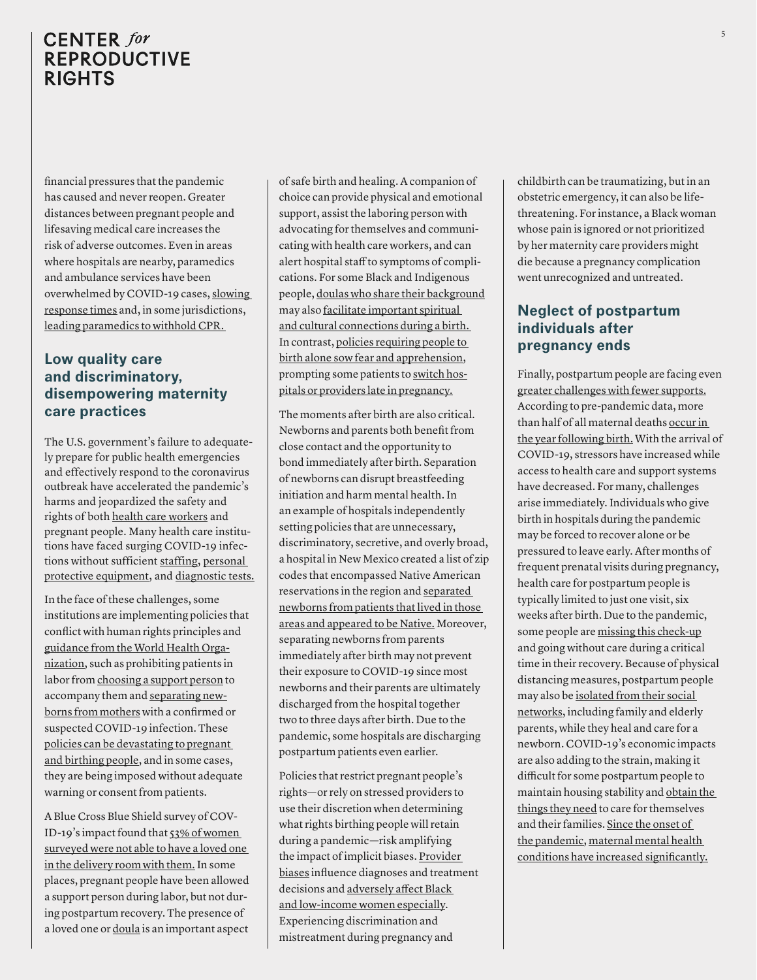financial pressures that the pandemic has caused and never reopen. Greater distances between pregnant people and lifesaving medical care increases the risk of adverse outcomes. Even in areas where hospitals are nearby, paramedics and ambulance services have been overwhelmed by COVID-19 cases, [slowing](https://nypost.com/2020/04/11/new-yorkers-are-dying-as-ambulance-response-times-surge-amid-coronavirus/)  [response times](https://nypost.com/2020/04/11/new-yorkers-are-dying-as-ambulance-response-times-surge-amid-coronavirus/) and, in some jurisdictions, [leading paramedics to withhold CPR.](https://www.nytimes.com/2020/05/10/nyregion/paramedics-cpr-coronavirus.html) 

## **Low quality care and discriminatory, disempowering maternity care practices**

The U.S. government's failure to adequately prepare for public health emergencies and effectively respond to the coronavirus outbreak have accelerated the pandemic's harms and jeopardized the safety and rights of both [health care workers](https://khn.org/news/lost-on-the-frontline-health-care-worker-death-toll-covid19-coronavirus/) and pregnant people. Many health care institutions have faced surging COVID-19 infections without sufficient [staffing](https://www.nytimes.com/2020/07/01/nyregion/Coronavirus-hospitals.html?searchResultPosition=1), [personal](https://www.nytimes.com/2020/07/08/health/coronavirus-masks-ppe-doc.html)  [protective equipment,](https://www.nytimes.com/2020/07/08/health/coronavirus-masks-ppe-doc.html) and [diagnostic tests.](https://www.nytimes.com/2020/07/07/us/coronavirus-briefing-the-dire-state-of-testing.html?searchResultPosition=6)

In the face of these challenges, some institutions are implementing policies that conflict with human rights principles and [guidance from the World Health Orga](https://www.who.int/publications/i/item/clinical-management-of-severe-acute-respiratory-infection-when-novel-coronavirus-(ncov)-infection-is-suspected)[nization](https://www.who.int/publications/i/item/clinical-management-of-severe-acute-respiratory-infection-when-novel-coronavirus-(ncov)-infection-is-suspected), such as prohibiting patients in labor from [choosing a support person](https://www.who.int/news-room/q-a-detail/q-a-on-covid-19-and-pregnancy-and-childbirth) to accompany them and [separating new](https://www.who.int/news-room/q-a-detail/q-a-on-covid-19-and-pregnancy-and-childbirth)[borns from mothers](https://www.who.int/news-room/q-a-detail/q-a-on-covid-19-and-pregnancy-and-childbirth) with a confirmed or suspected COVID-19 infection. These [policies can be devastating to pregnant](https://www.nytimes.com/2020/03/24/parenting/coronavirus-labor-birth.html?referringSource=articleShare)  [and birthing people](https://www.nytimes.com/2020/03/24/parenting/coronavirus-labor-birth.html?referringSource=articleShare), and in some cases, they are being imposed without adequate warning or consent from patients.

A Blue Cross Blue Shield survey of COV-ID-19's impact found that [53% of women](https://www.bcbs.com/the-health-of-america/reports/trends-in-pregnancy-and-childbirth-complications-in-the-us?utm_source=STAT+Newsletters&utm_campaign=c08dd8086c-MR_COPY_01&utm_medium=email&utm_term=0_8cab1d7961-c08dd8086c-149721217)  [surveyed were not able to have a loved one](https://www.bcbs.com/the-health-of-america/reports/trends-in-pregnancy-and-childbirth-complications-in-the-us?utm_source=STAT+Newsletters&utm_campaign=c08dd8086c-MR_COPY_01&utm_medium=email&utm_term=0_8cab1d7961-c08dd8086c-149721217)  [in the delivery room with them.](https://www.bcbs.com/the-health-of-america/reports/trends-in-pregnancy-and-childbirth-complications-in-the-us?utm_source=STAT+Newsletters&utm_campaign=c08dd8086c-MR_COPY_01&utm_medium=email&utm_term=0_8cab1d7961-c08dd8086c-149721217) In some places, pregnant people have been allowed a support person during labor, but not during postpartum recovery. The presence of a loved one or [doula](https://www.self.com/story/what-its-like-chanel-porchia-albert) is an important aspect of safe birth and healing. A companion of choice can provide physical and emotional support, assist the laboring person with advocating for themselves and communicating with health care workers, and can alert hospital staff to symptoms of complications. For some Black and Indigenous people, [doulas who share their background](https://www.self.com/story/what-its-like-chanel-porchia-albert) may also [facilitate important spiritual](https://www.cbc.ca/news/canada/saskatchewan/saskatchewan-indigenous-doulas-covid-19-response-1.5588786?__vfz=medium%3Dsharebar)  [and cultural connections during a birth.](https://www.cbc.ca/news/canada/saskatchewan/saskatchewan-indigenous-doulas-covid-19-response-1.5588786?__vfz=medium%3Dsharebar)  In contrast, [policies requiring people to](https://www.healthconnectone.org/wp-content/uploads/bsk-pdf-manager/2020/05/HC1-Storybook_7May2020.pdf)  [birth alone sow fear and apprehension,](https://www.healthconnectone.org/wp-content/uploads/bsk-pdf-manager/2020/05/HC1-Storybook_7May2020.pdf) prompting some patients to [switch hos](https://www.nytimes.com/2020/03/24/parenting/coronavirus-labor-birth.html?referringSource=articleShare)[pitals or providers late in pregnancy.](https://www.nytimes.com/2020/03/24/parenting/coronavirus-labor-birth.html?referringSource=articleShare)

The moments after birth are also critical. Newborns and parents both benefit from close contact and the opportunity to bond immediately after birth. Separation of newborns can disrupt breastfeeding initiation and harm mental health. In an example of hospitals independently setting policies that are unnecessary, discriminatory, secretive, and overly broad, a hospital in New Mexico created a list of zip codes that encompassed Native American reservations in the region and [separated](https://www.propublica.org/article/a-hospitals-secret-coronavirus-policy-separated-native-american-mothers-from-their-newborns)  [newborns from patients that lived in those](https://www.propublica.org/article/a-hospitals-secret-coronavirus-policy-separated-native-american-mothers-from-their-newborns)  [areas and appeared to be Native.](https://www.propublica.org/article/a-hospitals-secret-coronavirus-policy-separated-native-american-mothers-from-their-newborns) Moreover, separating newborns from parents immediately after birth may not prevent their exposure to COVID-19 since most newborns and their parents are ultimately discharged from the hospital together two to three days after birth. Due to the pandemic, some hospitals are discharging postpartum patients even earlier.

Policies that restrict pregnant people's rights—or rely on stressed providers to use their discretion when determining what rights birthing people will retain during a pandemic—risk amplifying the impact of implicit biases. Provider [biases](https://www.ncbi.nlm.nih.gov/pmc/articles/PMC4638275/?source=post_elevate_sequence_page---------------------------) influence diagnoses and treatment decisions and [adversely affect Black](https://www.npr.org/2017/12/07/568948782/black-mothers-keep-dying-after-giving-birth-shalon-irvings-story-explains-why)  [and low-income women especially](https://www.npr.org/2017/12/07/568948782/black-mothers-keep-dying-after-giving-birth-shalon-irvings-story-explains-why). Experiencing discrimination and mistreatment during pregnancy and

childbirth can be traumatizing, but in an obstetric emergency, it can also be lifethreatening. For instance, a Black woman whose pain is ignored or not prioritized by her maternity care providers might die because a pregnancy complication went unrecognized and untreated.

## **Neglect of postpartum individuals after pregnancy ends**

Finally, postpartum people are facing even [greater challenges with fewer supports.](https://www.nytimes.com/2020/04/10/parenting/single-mom-coronavirus-tanzina-vega.html?searchResultPosition=3) According to pre-pandemic data, more than half of all maternal deaths [occur in](https://www.cdc.gov/mmwr/volumes/68/wr/mm6818e1.htm?s_cid=mm6818e1_w)  [the year following birth.](https://www.cdc.gov/mmwr/volumes/68/wr/mm6818e1.htm?s_cid=mm6818e1_w) With the arrival of COVID-19, stressors have increased while access to health care and support systems have decreased. For many, challenges arise immediately. Individuals who give birth in hospitals during the pandemic may be forced to recover alone or be pressured to leave early. After months of frequent prenatal visits during pregnancy, health care for postpartum people is typically limited to just one visit, six weeks after birth. Due to the pandemic, some people are [missing this check-up](https://www.bcbs.com/the-health-of-america/reports/trends-in-pregnancy-and-childbirth-complications-in-the-us?utm_source=STAT+Newsletters&utm_campaign=c08dd8086c-MR_COPY_01&utm_medium=email&utm_term=0_8cab1d7961-c08dd8086c-149721217) and going without care during a critical time in their recovery. Because of physical distancing measures, postpartum people may also be [isolated from their social](https://www.washingtonpost.com/lifestyle/2020/06/10/new-mothers-are-high-risk-coming-mental-health-crisis-especially-black-mothers/)  [networks](https://www.washingtonpost.com/lifestyle/2020/06/10/new-mothers-are-high-risk-coming-mental-health-crisis-especially-black-mothers/), including family and elderly parents, while they heal and care for a newborn. COVID-19's economic impacts are also adding to the strain, making it difficult for some postpartum people to maintain housing stability and [obtain the](https://www.nytimes.com/2020/03/30/parenting/coronavirus-baby-formula-shortages-wipes-diapers.html)  [things they need](https://www.nytimes.com/2020/03/30/parenting/coronavirus-baby-formula-shortages-wipes-diapers.html) to care for themselves and their families. [Since the onset of](https://www.washingtonpost.com/lifestyle/2020/06/10/new-mothers-are-high-risk-coming-mental-health-crisis-especially-black-mothers/)  [the pandemic](https://www.washingtonpost.com/lifestyle/2020/06/10/new-mothers-are-high-risk-coming-mental-health-crisis-especially-black-mothers/), [maternal mental health](https://www.frontiersin.org/articles/10.3389/fgwh.2020.00001/full)  [conditions have increased significantly.](https://www.frontiersin.org/articles/10.3389/fgwh.2020.00001/full)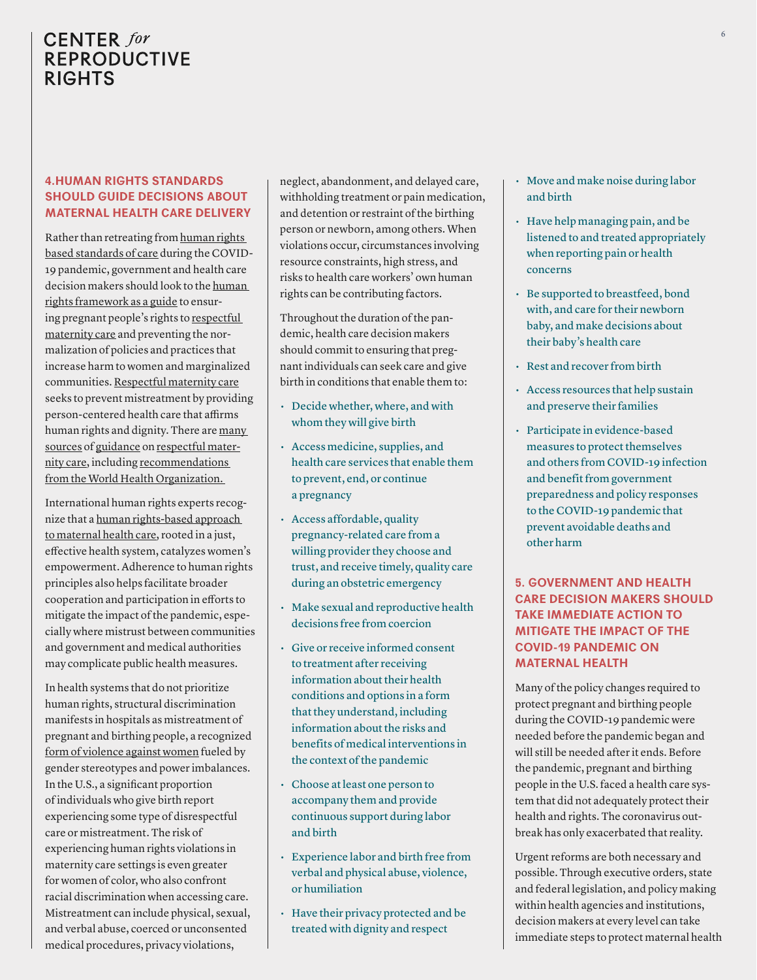### **4.HUMAN RIGHTS STANDARDS SHOULD GUIDE DECISIONS ABOUT MATERNAL HEALTH CARE DELIVERY**

Rather than retreating from [human rights](https://www.whiteribbonalliance.org/safertogether/)  [based standards of care](https://www.whiteribbonalliance.org/safertogether/) during the COVID-19 pandemic, government and health care decision makers should look to the [human](https://undocs.org/A/74/137)  [rights framework as a guide](https://undocs.org/A/74/137) to ensuring pregnant people's rights to [respectful](https://apps.who.int/iris/bitstream/handle/10665/134588/WHO_RHR_14.23_eng.pdf;jsessionid=D167C2850CE07BFA6EA9B000F7AE859B?sequence=1)  [maternity care](https://apps.who.int/iris/bitstream/handle/10665/134588/WHO_RHR_14.23_eng.pdf;jsessionid=D167C2850CE07BFA6EA9B000F7AE859B?sequence=1) and preventing the normalization of policies and practices that increase harm to women and marginalized communities. [Respectful maternity care](http://rmcresources.pbworks.com/w/page/107697158/Respectful%20Maternity%20Care%20Resources) seeks to prevent mistreatment by providing person-centered health care that affirms human rights and dignity. There are [many](https://www.mhtf.org/topics/respectful-maternity-care/)  [sources](https://www.mhtf.org/topics/respectful-maternity-care/) of [guidance](https://www.whiteribbonalliance.org/rmcresources/) on [respectful mater](https://apps.who.int/iris/bitstream/handle/10665/134588/WHO_RHR_14.23_eng.pdf;jsessionid=5DD23FA4CECF18C197B888D1846E1AEA?sequence=1)[nity care](https://apps.who.int/iris/bitstream/handle/10665/134588/WHO_RHR_14.23_eng.pdf;jsessionid=5DD23FA4CECF18C197B888D1846E1AEA?sequence=1), including [recommendations](https://extranet.who.int/rhl/topics/preconception-pregnancy-childbirth-and-postpartum-care/care-during-childbirth/who-recommendation-respectful-maternity-care-during-labour-and-childbirth)  [from the World Health Organization.](https://extranet.who.int/rhl/topics/preconception-pregnancy-childbirth-and-postpartum-care/care-during-childbirth/who-recommendation-respectful-maternity-care-during-labour-and-childbirth) 

International human rights experts recognize that a [human rights-based approach](https://documents-dds-ny.un.org/doc/UNDOC/GEN/G12/148/47/PDF/G1214847.pdf?OpenElement)  [to maternal health care,](https://documents-dds-ny.un.org/doc/UNDOC/GEN/G12/148/47/PDF/G1214847.pdf?OpenElement) rooted in a just, effective health system, catalyzes women's empowerment. Adherence to human rights principles also helps facilitate broader cooperation and participation in efforts to mitigate the impact of the pandemic, especially where mistrust between communities and government and medical authorities may complicate public health measures.

In health systems that do not prioritize human rights, structural discrimination manifests in hospitals as mistreatment of pregnant and birthing people, a recognized [form of violence against women](https://undocs.org/A/74/137) fueled by gender stereotypes and power imbalances. In the U.S., a significant proportion of individuals who give birth report experiencing some type of disrespectful care or mistreatment. The risk of experiencing human rights violations in maternity care settings is even greater for women of color, who also confront racial discrimination when accessing care. Mistreatment can include physical, sexual, and verbal abuse, coerced or unconsented medical procedures, privacy violations,

neglect, abandonment, and delayed care, withholding treatment or pain medication, and detention or restraint of the birthing person or newborn, among others. When violations occur, circumstances involving resource constraints, high stress, and risks to health care workers' own human rights can be contributing factors.

Throughout the duration of the pandemic, health care decision makers should commit to ensuring that pregnant individuals can seek care and give birth in conditions that enable them to:

- Decide whether, where, and with whom they will give birth
- Access medicine, supplies, and health care services that enable them to prevent, end, or continue a pregnancy
- Access affordable, quality pregnancy-related care from a willing provider they choose and trust, and receive timely, quality care during an obstetric emergency
- Make sexual and reproductive health decisions free from coercion
- Give or receive informed consent to treatment after receiving information about their health conditions and options in a form that they understand, including information about the risks and benefits of medical interventions in the context of the pandemic
- Choose at least one person to accompany them and provide continuous support during labor and birth
- Experience labor and birth free from verbal and physical abuse, violence, or humiliation
- Have their privacy protected and be treated with dignity and respect
- Move and make noise during labor and birth
- Have help managing pain, and be listened to and treated appropriately when reporting pain or health concerns
- Be supported to breastfeed, bond with, and care for their newborn baby, and make decisions about their baby's health care
- Rest and recover from birth
- Access resources that help sustain and preserve their families
- Participate in evidence-based measures to protect themselves and others from COVID-19 infection and benefit from government preparedness and policy responses to the COVID-19 pandemic that prevent avoidable deaths and other harm

### **5. GOVERNMENT AND HEALTH CARE DECISION MAKERS SHOULD TAKE IMMEDIATE ACTION TO MITIGATE THE IMPACT OF THE COVID-19 PANDEMIC ON MATERNAL HEALTH**

Many of the policy changes required to protect pregnant and birthing people during the COVID-19 pandemic were needed before the pandemic began and will still be needed after it ends. Before the pandemic, pregnant and birthing people in the U.S. faced a health care system that did not adequately protect their health and rights. The coronavirus outbreak has only exacerbated that reality.

Urgent reforms are both necessary and possible. Through executive orders, state and federal legislation, and policy making within health agencies and institutions, decision makers at every level can take immediate steps to protect maternal health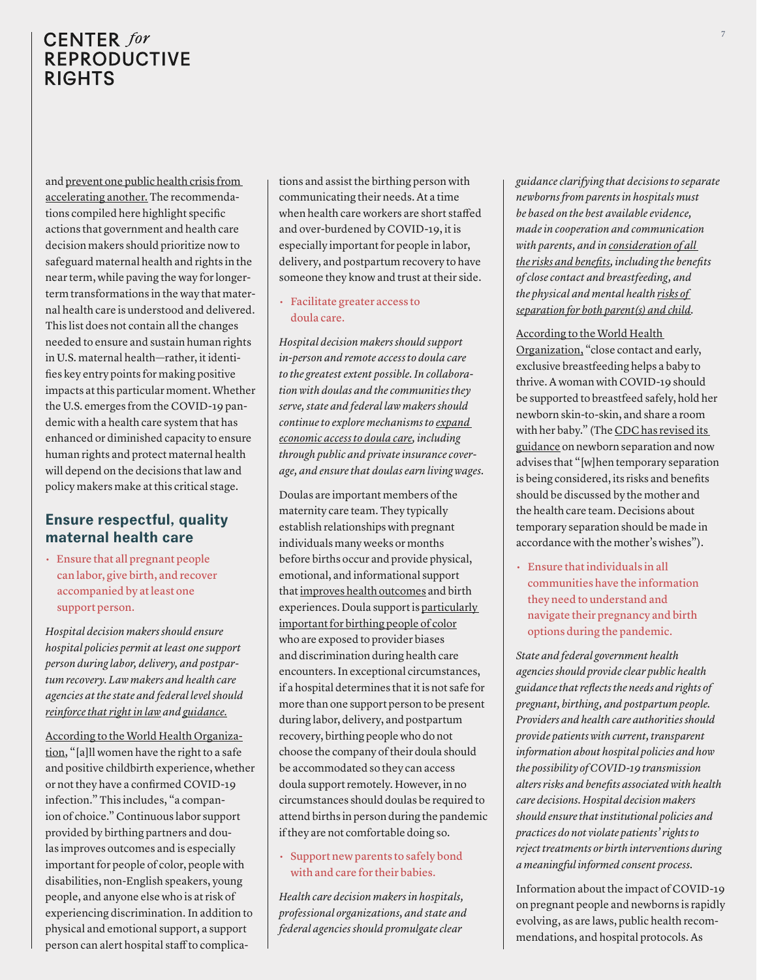and [prevent one public health crisis from](https://blogs.scientificamerican.com/observations/covid-19-is-no-reason-to-abandon-pregnant-people/)  [accelerating another.](https://blogs.scientificamerican.com/observations/covid-19-is-no-reason-to-abandon-pregnant-people/) The recommendations compiled here highlight specific actions that government and health care decision makers should prioritize now to safeguard maternal health and rights in the near term, while paving the way for longerterm transformations in the way that maternal health care is understood and delivered. This list does not contain all the changes needed to ensure and sustain human rights in U.S. maternal health—rather, it identifies key entry points for making positive impacts at this particular moment. Whether the U.S. emerges from the COVID-19 pandemic with a health care system that has enhanced or diminished capacity to ensure human rights and protect maternal health will depend on the decisions that law and policy makers make at this critical stage.

## **Ensure respectful, quality maternal health care**

• Ensure that all pregnant people can labor, give birth, and recover accompanied by at least one support person.

*Hospital decision makers should ensure hospital policies permit at least one support person during labor, delivery, and postpartum recovery. Law makers and health care agencies at the state and federal level should [reinforce that right in law](https://www.cnn.com/2020/03/29/health/new-york-hospital-childbirth-policy-overturned/index.html) and [guidance.](https://coronavirus.health.ny.gov/system/files/documents/2020/03/doh_covid19_obpedsvisitation_032720.pdf)*

[According to the World Health Organiza](https://www.who.int/images/default-source/health-topics/coronavirus/pregnancy-breastfeeding/who---pregnancy---3.png)[tion,](https://www.who.int/images/default-source/health-topics/coronavirus/pregnancy-breastfeeding/who---pregnancy---3.png) "[a]ll women have the right to a safe and positive childbirth experience, whether or not they have a confirmed COVID-19 infection." This includes, "a companion of choice." Continuous labor support provided by birthing partners and doulas improves outcomes and is especially important for people of color, people with disabilities, non-English speakers, young people, and anyone else who is at risk of experiencing discrimination. In addition to physical and emotional support, a support person can alert hospital staff to complications and assist the birthing person with communicating their needs. At a time when health care workers are short staffed and over-burdened by COVID-19, it is especially important for people in labor, delivery, and postpartum recovery to have someone they know and trust at their side.

#### • Facilitate greater access to doula care.

*Hospital decision makers should support in-person and remote access to doula care to the greatest extent possible. In collaboration with doulas and the communities they serve, state and federal law makers should continue to explore mechanisms to [expand](https://healthlaw.org/doulamedicaidproject/)  [economic access to doula care,](https://healthlaw.org/doulamedicaidproject/) including through public and private insurance coverage, and ensure that doulas earn living wages.* 

Doulas are important members of the maternity care team. They typically establish relationships with pregnant individuals many weeks or months before births occur and provide physical, emotional, and informational support that [improves health outcomes](https://www.ncbi.nlm.nih.gov/pmc/articles/PMC3647727/) and birth experiences. Doula support is [particularly](https://b5c19f22-2ef4-49b4-94b0-7621fdb5dbba.filesusr.com/ugd/f36f23_7d936f97617a4e34aaddd8a052ac1de6.pdf)  [important for birthing people of color](https://b5c19f22-2ef4-49b4-94b0-7621fdb5dbba.filesusr.com/ugd/f36f23_7d936f97617a4e34aaddd8a052ac1de6.pdf) who are exposed to provider biases and discrimination during health care encounters. In exceptional circumstances, if a hospital determines that it is not safe for more than one support person to be present during labor, delivery, and postpartum recovery, birthing people who do not choose the company of their doula should be accommodated so they can access doula support remotely. However, in no circumstances should doulas be required to attend births in person during the pandemic if they are not comfortable doing so.

#### • Support new parents to safely bond with and care for their babies.

*Health care decision makers in hospitals, professional organizations, and state and federal agencies should promulgate clear* 

*guidance clarifying that decisions to separate newborns from parents in hospitals must be based on the best available evidence, made in cooperation and communication with parents, and in [consideration of all](https://psychcentral.com/news/2020/04/11/should-newborns-be-separated-from-mothers-with-covid-19/155683.html)  [the risks and benefits,](https://psychcentral.com/news/2020/04/11/should-newborns-be-separated-from-mothers-with-covid-19/155683.html) including the benefits of close contact and breastfeeding, and the physical and mental health [risks of](https://pubmed.ncbi.nlm.nih.gov/32458558/)  [separation for both parent\(s\) and child.](https://pubmed.ncbi.nlm.nih.gov/32458558/)*

#### [According to the World Health](https://www.who.int/images/default-source/health-topics/coronavirus/pregnancy-breastfeeding/who---pregnancy---4.png)

[Organization,](https://www.who.int/images/default-source/health-topics/coronavirus/pregnancy-breastfeeding/who---pregnancy---4.png) "close contact and early, exclusive breastfeeding helps a baby to thrive. A woman with COVID-19 should be supported to breastfeed safely, hold her newborn skin-to-skin, and share a room with her baby." (The [CDC has revised its](https://www.cdc.gov/coronavirus/2019-ncov/hcp/inpatient-obstetric-healthcare-guidance.html)  [guidance](https://www.cdc.gov/coronavirus/2019-ncov/hcp/inpatient-obstetric-healthcare-guidance.html) on newborn separation and now advises that "[w]hen temporary separation is being considered, its risks and benefits should be discussed by the mother and the health care team. Decisions about temporary separation should be made in accordance with the mother's wishes").

• Ensure that individuals in all communities have the information they need to understand and navigate their pregnancy and birth options during the pandemic.

*State and federal government health agencies should provide clear public health guidance that reflects the needs and rights of pregnant, birthing, and postpartum people. Providers and health care authorities should provide patients with current, transparent information about hospital policies and how the possibility of COVID-19 transmission alters risks and benefits associated with health care decisions. Hospital decision makers should ensure that institutional policies and practices do not violate patients' rights to reject treatments or birth interventions during a meaningful informed consent process.*

Information about the impact of COVID-19 on pregnant people and newborns is rapidly evolving, as are laws, public health recommendations, and hospital protocols. As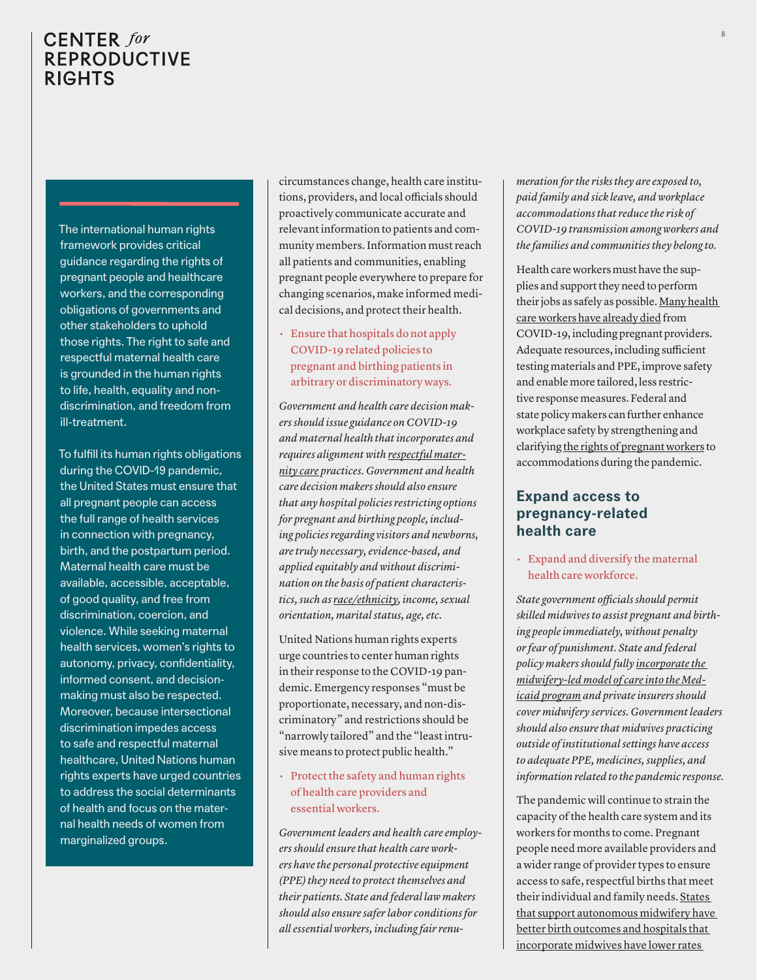The international human rights framework provides critical guidance regarding the rights of pregnant people and healthcare workers, and the corresponding obligations of governments and other stakeholders to uphold those rights. The right to safe and respectful maternal health care is grounded in the human rights to life, health, equality and nondiscrimination, and freedom from ill-treatment.

To fulfill its human rights obligations during the COVID-19 pandemic, the United States must ensure that all pregnant people can access the full range of health services in connection with pregnancy, birth, and the postpartum period. Maternal health care must be available, accessible, acceptable, of good quality, and free from discrimination, coercion, and violence. While seeking maternal health services, women's rights to autonomy, privacy, confidentiality, informed consent, and decisionmaking must also be respected. Moreover, because intersectional discrimination impedes access to safe and respectful maternal healthcare, United Nations human rights experts have urged countries to address the social determinants of health and focus on the maternal health needs of women from marginalized groups.

circumstances change, health care institutions, providers, and local officials should proactively communicate accurate and relevant information to patients and community members. Information must reach all patients and communities, enabling pregnant people everywhere to prepare for changing scenarios, make informed medical decisions, and protect their health.

• Ensure that hospitals do not apply COVID-19 related policies to pregnant and birthing patients in arbitrary or discriminatory ways.

*Government and health care decision makers should issue guidance on COVID-19 and maternal health that incorporates and requires alignment with [respectful mater](https://apps.who.int/iris/bitstream/handle/10665/134588/WHO_RHR_14.23_eng.pdf;jsessionid=5DD23FA4CECF18C197B888D1846E1AEA?sequence=1)[nity care](https://apps.who.int/iris/bitstream/handle/10665/134588/WHO_RHR_14.23_eng.pdf;jsessionid=5DD23FA4CECF18C197B888D1846E1AEA?sequence=1) practices. Government and health care decision makers should also ensure that any hospital policies restricting options for pregnant and birthing people, including policies regarding visitors and newborns, are truly necessary, evidence-based, and applied equitably and without discrimination on the basis of patient characteristics, such as [race/ethnicity,](https://www.propublica.org/article/a-hospitals-secret-coronavirus-policy-separated-native-american-mothers-from-their-newborns) income, sexual orientation, marital status, age, etc.* 

United Nations human rights experts urge countries to center human rights in their response to the COVID-19 pandemic. Emergency responses "must be proportionate, necessary, and non-discriminatory" and restrictions should be "narrowly tailored" and the "least intrusive means to protect public health."

#### • Protect the safety and human rights of health care providers and essential workers.

*Government leaders and health care employers should ensure that health care workers have the personal protective equipment (PPE) they need to protect themselves and their patients. State and federal law makers should also ensure safer labor conditions for all essential workers, including fair renu-* *meration for the risks they are exposed to, paid family and sick leave, and workplace accommodations that reduce the risk of COVID-19 transmission among workers and the families and communities they belong to.*

Health care workers must have the supplies and support they need to perform their jobs as safely as possible. [Many health](https://khn.org/news/lost-on-the-frontline-health-care-worker-death-toll-covid19-coronavirus/)  [care workers have already died](https://khn.org/news/lost-on-the-frontline-health-care-worker-death-toll-covid19-coronavirus/) from COVID-19, including pregnant providers. Adequate resources, including sufficient testing materials and PPE, improve safety and enable more tailored, less restrictive response measures. Federal and state policy makers can further enhance workplace safety by strengthening and clarifying [the rights of pregnant workers](https://www.nytimes.com/2020/05/01/parenting/coronavirus-pregnant-workers.html?referringSource=articleShare) to accommodations during the pandemic.

## **Expand access to pregnancy-related health care**

• Expand and diversify the maternal health care workforce.

*State government officials should permit skilled midwives to assist pregnant and birthing people immediately, without penalty or fear of punishment. State and federal policy makers should fully [incorporate the](https://www.medicaidinnovation.org/news/item/midwifery-support-in-states-leads-to-better-birth-outcomes-new-report-offers-guidance-for-improving-maternal-health-in-medicaid)  [midwifery-led model of care into the Med](https://www.medicaidinnovation.org/news/item/midwifery-support-in-states-leads-to-better-birth-outcomes-new-report-offers-guidance-for-improving-maternal-health-in-medicaid)[icaid program](https://www.medicaidinnovation.org/news/item/midwifery-support-in-states-leads-to-better-birth-outcomes-new-report-offers-guidance-for-improving-maternal-health-in-medicaid) and private insurers should cover midwifery services. Government leaders should also ensure that midwives practicing outside of institutional settings have access to adequate PPE, medicines, supplies, and information related to the pandemic response.*

The pandemic will continue to strain the capacity of the health care system and its workers for months to come. Pregnant people need more available providers and a wider range of provider types to ensure access to safe, respectful births that meet their individual and family needs. [States](https://www.medicaidinnovation.org/news/item/midwifery-support-in-states-leads-to-better-birth-outcomes-new-report-offers-guidance-for-improving-maternal-health-in-medicaid)  [that support autonomous midwifery have](https://www.medicaidinnovation.org/news/item/midwifery-support-in-states-leads-to-better-birth-outcomes-new-report-offers-guidance-for-improving-maternal-health-in-medicaid)  [better birth outcomes and hospitals that](https://www.medicaidinnovation.org/news/item/midwifery-support-in-states-leads-to-better-birth-outcomes-new-report-offers-guidance-for-improving-maternal-health-in-medicaid)  [incorporate midwives have lower rates](https://www.medicaidinnovation.org/news/item/midwifery-support-in-states-leads-to-better-birth-outcomes-new-report-offers-guidance-for-improving-maternal-health-in-medicaid)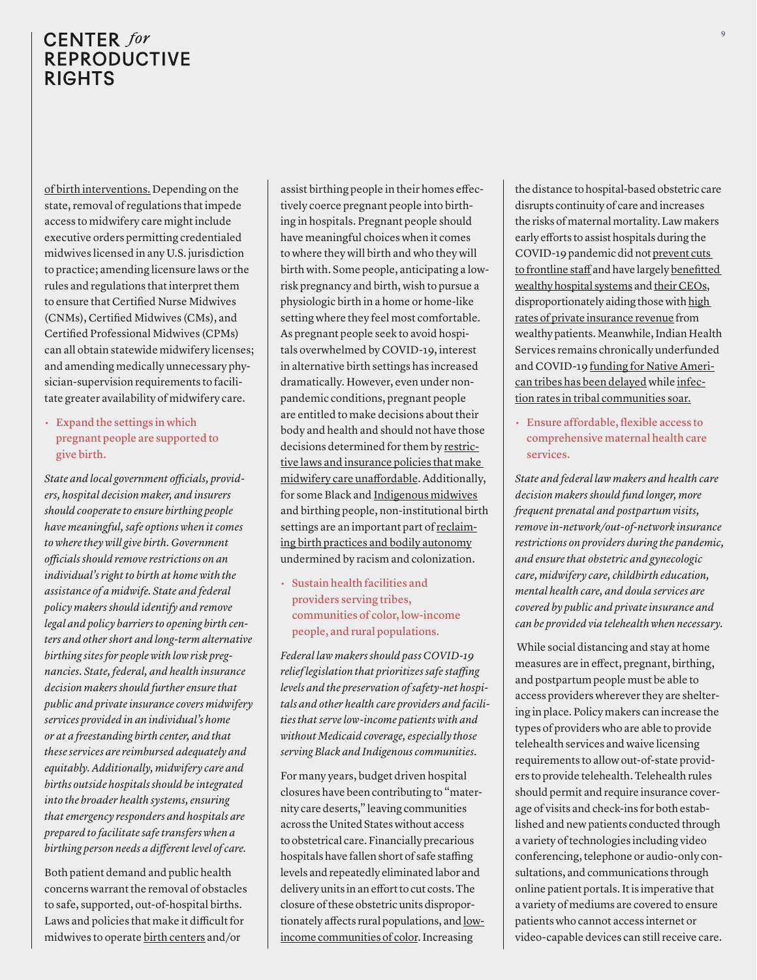[of birth interventions.](https://www.medicaidinnovation.org/news/item/midwifery-support-in-states-leads-to-better-birth-outcomes-new-report-offers-guidance-for-improving-maternal-health-in-medicaid) Depending on the state, removal of regulations that impede access to midwifery care might include executive orders permitting credentialed midwives licensed in any U.S. jurisdiction to practice; amending licensure laws or the rules and regulations that interpret them to ensure that Certified Nurse Midwives (CNMs), Certified Midwives (CMs), and Certified Professional Midwives (CPMs) can all obtain statewide midwifery licenses; and amending medically unnecessary physician-supervision requirements to facilitate greater availability of midwifery care.

### • Expand the settings in which pregnant people are supported to give birth.

*State and local government officials, providers, hospital decision maker, and insurers should cooperate to ensure birthing people have meaningful, safe options when it comes to where they will give birth. Government officials should remove restrictions on an individual's right to birth at home with the assistance of a midwife. State and federal policy makers should identify and remove legal and policy barriers to opening birth centers and other short and long-term alternative birthing sites for people with low risk pregnancies. State, federal, and health insurance decision makers should further ensure that public and private insurance covers midwifery services provided in an individual's home or at a freestanding birth center, and that these services are reimbursed adequately and equitably. Additionally, midwifery care and births outside hospitals should be integrated into the broader health systems, ensuring that emergency responders and hospitals are prepared to facilitate safe transfers when a birthing person needs a different level of care.*

Both patient demand and public health concerns warrant the removal of obstacles to safe, supported, out-of-hospital births. Laws and policies that make it difficult for midwives to operate [birth centers](https://www.healthaffairs.org/doi/abs/10.1377/hlthaff.2019.01042?journalCode=hlthaff&) and/or

assist birthing people in their homes effectively coerce pregnant people into birthing in hospitals. Pregnant people should have meaningful choices when it comes to where they will birth and who they will birth with. Some people, anticipating a lowrisk pregnancy and birth, wish to pursue a physiologic birth in a home or home-like setting where they feel most comfortable. As pregnant people seek to avoid hospitals overwhelmed by COVID-19, interest in alternative birth settings has increased dramatically. However, even under nonpandemic conditions, pregnant people are entitled to make decisions about their body and health and should not have those decisions determined for them by [restric](https://www.inquirer.com/news/midwife-midwives-birth-covid-babies-delivery-20200712.html)[tive laws and insurance policies that make](https://www.inquirer.com/news/midwife-midwives-birth-covid-babies-delivery-20200712.html)  [midwifery care unaffordable](https://www.inquirer.com/news/midwife-midwives-birth-covid-babies-delivery-20200712.html). Additionally, for some Black and [Indigenous midwives](http://www.changingwomaninitiative.com) and birthing people, non-institutional birth settings are an important part of [reclaim](https://www.highgroundnews.com/features/CHOICESBlackMidwives.aspx)[ing birth practices and bodily autonomy](https://www.highgroundnews.com/features/CHOICESBlackMidwives.aspx) undermined by racism and colonization.

• Sustain health facilities and providers serving tribes, communities of color, low-income people, and rural populations.

*Federal law makers should pass COVID-19 relief legislation that prioritizes safe staffing levels and the preservation of safety-net hospitals and other health care providers and facilities that serve low-income patients with and without Medicaid coverage, especially those serving Black and Indigenous communities.*

For many years, budget driven hospital closures have been contributing to "maternity care deserts," leaving communities across the United States without access to obstetrical care. Financially precarious hospitals have fallen short of safe staffing levels and repeatedly eliminated labor and delivery units in an effort to cut costs. The closure of these obstetric units disproportionately affects rural populations, and [low](https://www.nytimes.com/2020/05/05/parenting/coronavirus-black-maternal-mortality.html?smid=tw-share)[income communities of color](https://www.nytimes.com/2020/05/05/parenting/coronavirus-black-maternal-mortality.html?smid=tw-share). Increasing

the distance to hospital-based obstetric care disrupts continuity of care and increases the risks of maternal mortality. Law makers early efforts to assist hospitals during the COVID-19 pandemic did not [prevent cuts](https://www.nytimes.com/2020/06/08/business/hospitals-bailouts-ceo-pay.html?referringSource=articleShare)  [to frontline staff](https://www.nytimes.com/2020/06/08/business/hospitals-bailouts-ceo-pay.html?referringSource=articleShare) and have largely [benefitted](https://www.nytimes.com/2020/05/25/business/coronavirus-hospitals-bailout.html?referringSource=articleShare)  [wealthy hospital systems](https://www.nytimes.com/2020/05/25/business/coronavirus-hospitals-bailout.html?referringSource=articleShare) and [their CEOs,](https://www.nytimes.com/2020/06/08/business/hospitals-bailouts-ceo-pay.html?referringSource=articleShare/) disproportionately aiding those with [high](https://www.kff.org/health-costs/issue-brief/distribution-of-cares-act-funding-among-hospitals/?utm_campaign=KFF-2020-Health-Costs&utm_source=hs_email&utm_medium=email&utm_content=87886305&_hsenc=p2ANqtz--5H_dI5ybM9j7dEUcpNHIhhhSIhGZKuiOyCgdpPdMkmJ65llIkF9D8sYDfor_aNPAh8_2CoURE3ISuaDmzFepJuTo2FQ)  [rates of private insurance revenue](https://www.kff.org/health-costs/issue-brief/distribution-of-cares-act-funding-among-hospitals/?utm_campaign=KFF-2020-Health-Costs&utm_source=hs_email&utm_medium=email&utm_content=87886305&_hsenc=p2ANqtz--5H_dI5ybM9j7dEUcpNHIhhhSIhGZKuiOyCgdpPdMkmJ65llIkF9D8sYDfor_aNPAh8_2CoURE3ISuaDmzFepJuTo2FQ) from wealthy patients. Meanwhile, Indian Health Services remains chronically underfunded and COVID-19 [funding for Native Ameri](https://www.huffpost.com/entry/native-american-tribes-coronavirus-aid-tom-udall_n_5e96012bc5b6fd5b0a72baaa?ncid=engmodushpmg00000004&guccounter=1&guce_referrer=aHR0cHM6Ly90LmNvLzlyNzAzNWFuT1A_YW1wPTE&guce_referrer_sig=AQAAADDgpOSLd_vJ_znrWONJIb8lPisbtmCJ-PxusT1e8JLTBqZrYifpptWvPpD55OK1eTqls_EYTkyBAvBUqGo9Ib9WKRz3kcSDNVj8H0EPbT46FbCzsqpH7MVfDKmFaC_osWZNfhEgaL1WvUCi2eObGPb9_J_eMpXPl2wKWKero1Eb)[can tribes has been delayed](https://www.huffpost.com/entry/native-american-tribes-coronavirus-aid-tom-udall_n_5e96012bc5b6fd5b0a72baaa?ncid=engmodushpmg00000004&guccounter=1&guce_referrer=aHR0cHM6Ly90LmNvLzlyNzAzNWFuT1A_YW1wPTE&guce_referrer_sig=AQAAADDgpOSLd_vJ_znrWONJIb8lPisbtmCJ-PxusT1e8JLTBqZrYifpptWvPpD55OK1eTqls_EYTkyBAvBUqGo9Ib9WKRz3kcSDNVj8H0EPbT46FbCzsqpH7MVfDKmFaC_osWZNfhEgaL1WvUCi2eObGPb9_J_eMpXPl2wKWKero1Eb) while [infec](https://www.nytimes.com/2020/05/30/opinion/sunday/coronavirus-native-americans.html)[tion rates in tribal communities soar.](https://www.nytimes.com/2020/05/30/opinion/sunday/coronavirus-native-americans.html)

• Ensure affordable, flexible access to comprehensive maternal health care services.

*State and federal law makers and health care decision makers should fund longer, more frequent prenatal and postpartum visits, remove in-network/out-of-network insurance restrictions on providers during the pandemic, and ensure that obstetric and gynecologic care, midwifery care, childbirth education, mental health care, and doula services are covered by public and private insurance and can be provided via telehealth when necessary.*

 While social distancing and stay at home measures are in effect, pregnant, birthing, and postpartum people must be able to access providers wherever they are sheltering in place. Policy makers can increase the types of providers who are able to provide telehealth services and waive licensing requirements to allow out-of-state providers to provide telehealth. Telehealth rules should permit and require insurance coverage of visits and check-ins for both established and new patients conducted through a variety of technologies including video conferencing, telephone or audio-only consultations, and communications through online patient portals. It is imperative that a variety of mediums are covered to ensure patients who cannot access internet or video-capable devices can still receive care.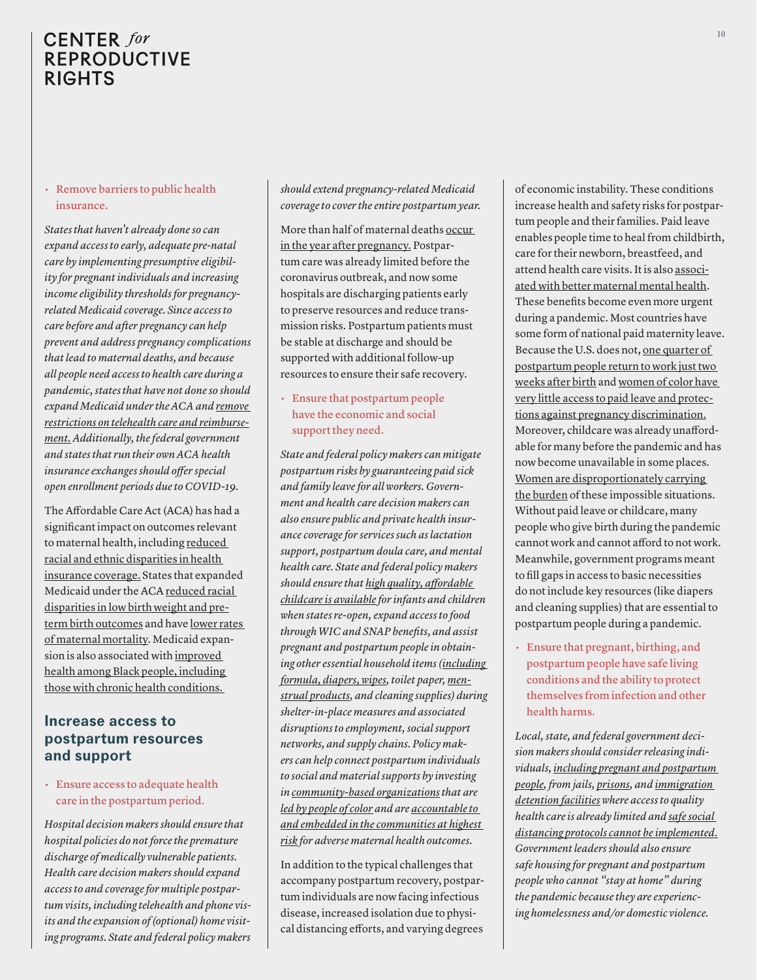#### • Remove barriers to public health insurance.

*States that haven't already done so can expand access to early, adequate pre-natal care by implementing presumptive eligibility for pregnant individuals and increasing income eligibility thresholds for pregnancyrelated Medicaid coverage. Since access to care before and after pregnancy can help prevent and address pregnancy complications that lead to maternal deaths, and because all people need access to health care during a pandemic, states that have not done so should expand Medicaid under the ACA and [remove](https://www.healthaffairs.org/do/10.1377/hblog20200330.454590/full/)  [restrictions on telehealth care and reimburse](https://www.healthaffairs.org/do/10.1377/hblog20200330.454590/full/)[ment.](https://www.healthaffairs.org/do/10.1377/hblog20200330.454590/full/) Additionally, the federal government and states that run their own ACA health insurance exchanges should offer special open enrollment periods due to COVID-19.* 

The Affordable Care Act (ACA) has had a significant impact on outcomes relevant to maternal health, including [reduced](https://www.healthaffairs.org/doi/pdf/10.1377/hlthaff.2019.01394#.XmJis63rs-Y.email)  [racial and ethnic disparities in health](https://www.healthaffairs.org/doi/pdf/10.1377/hlthaff.2019.01394#.XmJis63rs-Y.email)  [insurance coverage.](https://www.healthaffairs.org/doi/pdf/10.1377/hlthaff.2019.01394#.XmJis63rs-Y.email) States that expanded Medicaid under the ACA [reduced racial](https://jamanetwork.com/journals/jama/article-abstract/2731179)  [disparities in low birth weight and pre](https://jamanetwork.com/journals/jama/article-abstract/2731179)[term birth outcomes](https://jamanetwork.com/journals/jama/article-abstract/2731179) and have [lower rates](https://ccf.georgetown.edu/wp-content/uploads/2019/05/Maternal-Health-3a.pdf)  [of maternal mortality.](https://ccf.georgetown.edu/wp-content/uploads/2019/05/Maternal-Health-3a.pdf) Medicaid expansion is also associated with [improved](https://jamanetwork.com/journals/jamanetworkopen/fullarticle/2768102?utm_source=STAT+Newsletters&utm_campaign=da5bf65236-MR_COPY_01&utm_medium=email&utm_term=0_8cab1d7961-da5bf65236-149721217)  [health among Black people, including](https://jamanetwork.com/journals/jamanetworkopen/fullarticle/2768102?utm_source=STAT+Newsletters&utm_campaign=da5bf65236-MR_COPY_01&utm_medium=email&utm_term=0_8cab1d7961-da5bf65236-149721217)  [those with chronic health conditions.](https://jamanetwork.com/journals/jamanetworkopen/fullarticle/2768102?utm_source=STAT+Newsletters&utm_campaign=da5bf65236-MR_COPY_01&utm_medium=email&utm_term=0_8cab1d7961-da5bf65236-149721217) 

## **Increase access to postpartum resources and support**

### • Ensure access to adequate health care in the postpartum period.

*Hospital decision makers should ensure that hospital policies do not force the premature discharge of medically vulnerable patients. Health care decision makers should expand access to and coverage for multiple postpartum visits, including telehealth and phone visits and the expansion of (optional) home visiting programs. State and federal policy makers* 

#### *should extend pregnancy-related Medicaid coverage to cover the entire postpartum year.*

More than half of maternal deaths [occur](https://www.cdc.gov/mmwr/volumes/68/wr/mm6818e1.htm?s_cid=mm6818e1_w)  [in the year after pregnancy.](https://www.cdc.gov/mmwr/volumes/68/wr/mm6818e1.htm?s_cid=mm6818e1_w) Postpartum care was already limited before the coronavirus outbreak, and now some hospitals are discharging patients early to preserve resources and reduce transmission risks. Postpartum patients must be stable at discharge and should be supported with additional follow-up resources to ensure their safe recovery.

• Ensure that postpartum people have the economic and social support they need.

*State and federal policy makers can mitigate postpartum risks by guaranteeing paid sick and family leave for all workers. Government and health care decision makers can also ensure public and private health insurance coverage for services such as lactation support, postpartum doula care, and mental health care. State and federal policy makers should ensure that [high quality, affordable](https://www.nytimes.com/2020/05/29/opinion/childcare-coronavirus.html)  [childcare is available](https://www.nytimes.com/2020/05/29/opinion/childcare-coronavirus.html) for infants and children when states re-open, expand access to food through WIC and SNAP benefits, and assist pregnant and postpartum people in obtaining other essential household items ([including](https://www.nytimes.com/2020/03/30/parenting/coronavirus-baby-formula-shortages-wipes-diapers.html?referringSource=articleShare)  [formula, diapers, wipes,](https://www.nytimes.com/2020/03/30/parenting/coronavirus-baby-formula-shortages-wipes-diapers.html?referringSource=articleShare) toilet paper, [men](https://www.statnews.com/2020/07/07/pandemic-health-disparity-period-poverty/?utm_source=STAT+Newsletters&utm_campaign=7cdc828783-MR_COPY_01&utm_medium=email&utm_term=0_8cab1d7961-7cdc828783-149721217)[strual products](https://www.statnews.com/2020/07/07/pandemic-health-disparity-period-poverty/?utm_source=STAT+Newsletters&utm_campaign=7cdc828783-MR_COPY_01&utm_medium=email&utm_term=0_8cab1d7961-7cdc828783-149721217), and cleaning supplies) during shelter-in-place measures and associated disruptions to employment, social support networks, and supply chains. Policy makers can help connect postpartum individuals to social and material supports by investing in [community-based organizations](https://medium.com/cityblock-health/pregnant-during-the-pandemic-centering-black-mamas-to-catalyze-chang-906bbc5889b3) that are [led by people of color](https://www.ancientsongdoulaservices.com) and are [accountable to](http://www.changingwomaninitiative.com)  [and embedded in the communities at highest](http://www.changingwomaninitiative.com)  [risk](http://www.changingwomaninitiative.com) for adverse maternal health outcomes.*

In addition to the typical challenges that accompany postpartum recovery, postpartum individuals are now facing infectious disease, increased isolation due to physical distancing efforts, and varying degrees

of economic instability. These conditions increase health and safety risks for postpartum people and their families. Paid leave enables people time to heal from childbirth, care for their newborn, breastfeed, and attend health care visits. It is also [associ](https://www.sciencedirect.com/science/article/abs/pii/S0277953615000842?via%3Dihub)[ated with better maternal mental health.](https://www.sciencedirect.com/science/article/abs/pii/S0277953615000842?via%3Dihub) These benefits become even more urgent during a pandemic. Most countries have some form of national paid maternity leave. Because the U.S. does not, [one quarter of](https://www.dol.gov/sites/dolgov/files/OASP/legacy/files/FMLA-2012-Technical-Report.pdf)  [postpartum people return to work just two](https://www.dol.gov/sites/dolgov/files/OASP/legacy/files/FMLA-2012-Technical-Report.pdf)  [weeks after birth](https://www.dol.gov/sites/dolgov/files/OASP/legacy/files/FMLA-2012-Technical-Report.pdf) and [women of color have](https://nimhd.blogs.govdelivery.com/2020/06/28/can-paid-maternal-leave-help-address-the-disparities-in-maternal-mortality/)  [very little access to paid leave and protec](https://nimhd.blogs.govdelivery.com/2020/06/28/can-paid-maternal-leave-help-address-the-disparities-in-maternal-mortality/)[tions against pregnancy discrimination.](https://nimhd.blogs.govdelivery.com/2020/06/28/can-paid-maternal-leave-help-address-the-disparities-in-maternal-mortality/) Moreover, childcare was already unaffordable for many before the pandemic and has now become unavailable in some places. [Women are disproportionately carrying](https://www.rollingstone.com/culture/culture-features/working-motherhood-covid-19-coronavirus-1023609/)  [the burden](https://www.rollingstone.com/culture/culture-features/working-motherhood-covid-19-coronavirus-1023609/) of these impossible situations. Without paid leave or childcare, many people who give birth during the pandemic cannot work and cannot afford to not work. Meanwhile, government programs meant to fill gaps in access to basic necessities do not include key resources (like diapers and cleaning supplies) that are essential to postpartum people during a pandemic.

• Ensure that pregnant, birthing, and postpartum people have safe living conditions and the ability to protect themselves from infection and other health harms.

*Local, state, and federal government decision makers should consider releasing individuals, [including pregnant and postpartum](https://www.aclu.org/press-releases/aclu-statement-calls-release-pregnant-people-prisons-and-jails)  [people,](https://www.aclu.org/press-releases/aclu-statement-calls-release-pregnant-people-prisons-and-jails) from jails, [prisons,](https://www.nytimes.com/2020/04/23/opinion/coronavirus-prisons.html?searchResultPosition=8) and [immigration](https://www.nytimes.com/2020/07/10/us/ice-coronavirus-deportation.html?searchResultPosition=8)  [detention facilities](https://www.nytimes.com/2020/07/10/us/ice-coronavirus-deportation.html?searchResultPosition=8) where access to quality health care is already limited and [safe social](https://www.prisonpolicy.org/blog/2020/04/03/density/)  [distancing protocols cannot be implemented.](https://www.prisonpolicy.org/blog/2020/04/03/density/) Government leaders should also ensure safe housing for pregnant and postpartum people who cannot "stay at home" during the pandemic because they are experiencing homelessness and/or domestic violence.*